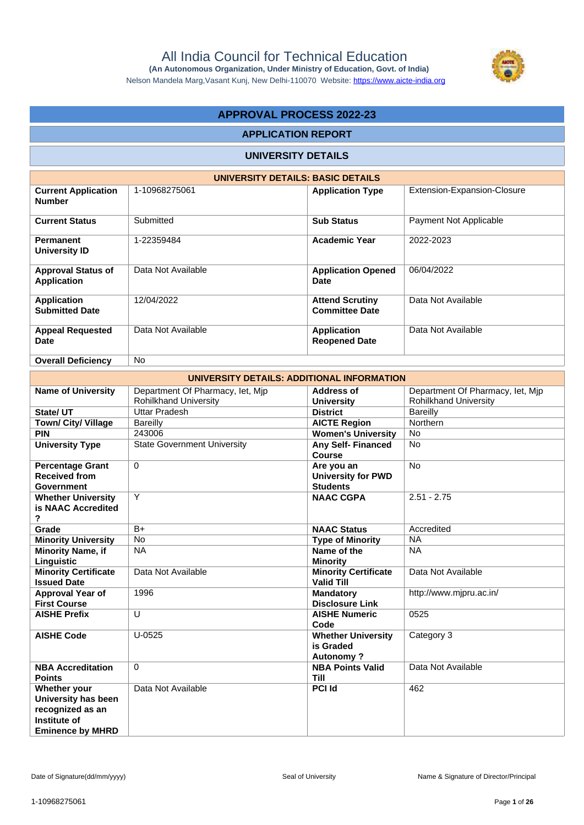

Nelson Mandela Marg,Vasant Kunj, New Delhi-110070 Website: https://www.aicte-india.org

## **APPROVAL PROCESS 2022-23**

#### **APPLICATION REPORT**

#### **UNIVERSITY DETAILS**

| UNIVERSITY DETAILS: BASIC DETAILS               |                    |                                                 |                             |  |  |  |
|-------------------------------------------------|--------------------|-------------------------------------------------|-----------------------------|--|--|--|
| <b>Current Application</b><br><b>Number</b>     | 1-10968275061      | <b>Application Type</b>                         | Extension-Expansion-Closure |  |  |  |
| <b>Current Status</b>                           | Submitted          | <b>Sub Status</b>                               | Payment Not Applicable      |  |  |  |
| <b>Permanent</b><br>University ID               | 1-22359484         | <b>Academic Year</b>                            | 2022-2023                   |  |  |  |
| <b>Approval Status of</b><br><b>Application</b> | Data Not Available | <b>Application Opened</b><br>Date               | 06/04/2022                  |  |  |  |
| <b>Application</b><br><b>Submitted Date</b>     | 12/04/2022         | <b>Attend Scrutiny</b><br><b>Committee Date</b> | Data Not Available          |  |  |  |
| <b>Appeal Requested</b><br>Date                 | Data Not Available | <b>Application</b><br><b>Reopened Date</b>      | Data Not Available          |  |  |  |
| <b>Overall Deficiency</b>                       | <b>No</b>          |                                                 |                             |  |  |  |

| UNIVERSITY DETAILS: ADDITIONAL INFORMATION                                                         |                                                                  |                                                            |                                                                  |  |  |  |  |
|----------------------------------------------------------------------------------------------------|------------------------------------------------------------------|------------------------------------------------------------|------------------------------------------------------------------|--|--|--|--|
| <b>Name of University</b>                                                                          | Department Of Pharmacy, let, Mjp<br><b>Rohilkhand University</b> | <b>Address of</b>                                          | Department Of Pharmacy, let, Mjp<br><b>Rohilkhand University</b> |  |  |  |  |
| State/ UT                                                                                          | <b>Uttar Pradesh</b>                                             | <b>University</b><br><b>District</b>                       | <b>Bareilly</b>                                                  |  |  |  |  |
| Town/ City/ Village                                                                                | <b>Bareilly</b>                                                  | <b>AICTE Region</b>                                        | Northern                                                         |  |  |  |  |
| <b>PIN</b>                                                                                         | 243006                                                           | <b>Women's University</b>                                  | <b>No</b>                                                        |  |  |  |  |
| <b>University Type</b>                                                                             | <b>State Government University</b>                               | <b>Any Self- Financed</b>                                  | <b>No</b>                                                        |  |  |  |  |
|                                                                                                    |                                                                  | Course                                                     |                                                                  |  |  |  |  |
| <b>Percentage Grant</b><br><b>Received from</b><br><b>Government</b>                               | $\Omega$                                                         | Are you an<br><b>University for PWD</b><br><b>Students</b> | <b>No</b>                                                        |  |  |  |  |
| <b>Whether University</b><br>is NAAC Accredited<br>?                                               | Y                                                                | <b>NAAC CGPA</b>                                           | $2.51 - 2.75$                                                    |  |  |  |  |
| Grade                                                                                              | $B+$                                                             | <b>NAAC Status</b>                                         | Accredited                                                       |  |  |  |  |
| <b>Minority University</b>                                                                         | <b>No</b>                                                        | <b>Type of Minority</b>                                    | <b>NA</b>                                                        |  |  |  |  |
| <b>Minority Name, if</b><br>Linguistic                                                             | <b>NA</b>                                                        | Name of the<br><b>Minority</b>                             | <b>NA</b>                                                        |  |  |  |  |
| <b>Minority Certificate</b><br><b>Issued Date</b>                                                  | Data Not Available                                               | <b>Minority Certificate</b><br><b>Valid Till</b>           | Data Not Available                                               |  |  |  |  |
| Approval Year of<br><b>First Course</b>                                                            | 1996                                                             | <b>Mandatory</b><br><b>Disclosure Link</b>                 | http://www.mjpru.ac.in/                                          |  |  |  |  |
| <b>AISHE Prefix</b>                                                                                | U                                                                | <b>AISHE Numeric</b><br>Code                               | 0525                                                             |  |  |  |  |
| <b>AISHE Code</b>                                                                                  | $U-0525$                                                         | <b>Whether University</b><br>is Graded<br><b>Autonomy?</b> | Category 3                                                       |  |  |  |  |
| <b>NBA Accreditation</b><br><b>Points</b>                                                          | $\Omega$                                                         | <b>NBA Points Valid</b><br><b>Till</b>                     | Data Not Available                                               |  |  |  |  |
| Whether your<br>University has been<br>recognized as an<br>Institute of<br><b>Eminence by MHRD</b> | Data Not Available                                               | <b>PCI Id</b>                                              | 462                                                              |  |  |  |  |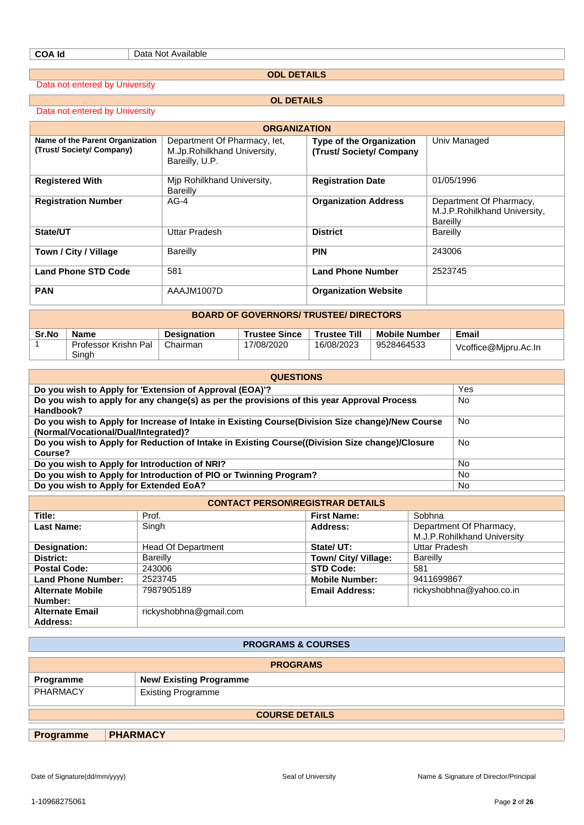**ODL DETAILS**

Data not entered by University

Data not entered by University

**OL DETAILS**

| <b>ORGANIZATION</b>                                        |                                                                               |                                                            |                                                                             |  |  |  |
|------------------------------------------------------------|-------------------------------------------------------------------------------|------------------------------------------------------------|-----------------------------------------------------------------------------|--|--|--|
| Name of the Parent Organization<br>(Trust/Society/Company) | Department Of Pharmacy, let,<br>M.Jp.Rohilkhand University,<br>Bareilly, U.P. | <b>Type of the Organization</b><br>(Trust/Society/Company) | Univ Managed                                                                |  |  |  |
| <b>Registered With</b>                                     | Mip Rohilkhand University,<br>Bareilly                                        | <b>Registration Date</b>                                   | 01/05/1996                                                                  |  |  |  |
| <b>Registration Number</b>                                 | $AG-4$                                                                        | <b>Organization Address</b>                                | Department Of Pharmacy,<br>M.J.P. Rohilkhand University,<br><b>Bareilly</b> |  |  |  |
| State/UT                                                   | Uttar Pradesh                                                                 | <b>District</b>                                            | Bareilly                                                                    |  |  |  |
| Town / City / Village                                      | Bareilly                                                                      | <b>PIN</b>                                                 | 243006                                                                      |  |  |  |
| <b>Land Phone STD Code</b>                                 | 581                                                                           | <b>Land Phone Number</b>                                   | 2523745                                                                     |  |  |  |
| <b>PAN</b>                                                 | AAAJM1007D                                                                    | <b>Organization Website</b>                                |                                                                             |  |  |  |

| <b>BOARD OF GOVERNORS/ TRUSTEE/ DIRECTORS</b> |                               |                    |                      |                     |                      |                      |
|-----------------------------------------------|-------------------------------|--------------------|----------------------|---------------------|----------------------|----------------------|
| Sr.No                                         | Name                          | <b>Designation</b> | <b>Trustee Since</b> | <b>Trustee Till</b> | <b>Mobile Number</b> | Email                |
|                                               | Professor Krishn Pal<br>Singh | Chairman           | 17/08/2020           | 16/08/2023          | 9528464533           | Vcoffice@Mipru.Ac.In |

| <b>QUESTIONS</b>                                                                                                                        |           |  |  |  |
|-----------------------------------------------------------------------------------------------------------------------------------------|-----------|--|--|--|
| Do you wish to Apply for 'Extension of Approval (EOA)'?                                                                                 | Yes       |  |  |  |
| Do you wish to apply for any change(s) as per the provisions of this year Approval Process<br>Handbook?                                 | No        |  |  |  |
| Do you wish to Apply for Increase of Intake in Existing Course(Division Size change)/New Course<br>(Normal/Vocational/Dual/Integrated)? | No.       |  |  |  |
| Do you wish to Apply for Reduction of Intake in Existing Course((Division Size change)/Closure<br>Course?                               | No.       |  |  |  |
| Do you wish to Apply for Introduction of NRI?                                                                                           | No.       |  |  |  |
| Do you wish to Apply for Introduction of PIO or Twinning Program?                                                                       | No.       |  |  |  |
| Do you wish to Apply for Extended EoA?                                                                                                  | <b>No</b> |  |  |  |

| <b>CONTACT PERSON\REGISTRAR DETAILS</b> |                        |                       |                                                        |  |  |
|-----------------------------------------|------------------------|-----------------------|--------------------------------------------------------|--|--|
| Title:                                  | Prof.                  | <b>First Name:</b>    | Sobhna                                                 |  |  |
| Last Name:                              | Singh                  | Address:              | Department Of Pharmacy,<br>M.J.P.Rohilkhand University |  |  |
| Designation:                            | Head Of Department     | State/UT:             | Uttar Pradesh                                          |  |  |
| District:                               | <b>Bareilly</b>        | Town/ City/ Village:  | <b>Bareilly</b>                                        |  |  |
| <b>Postal Code:</b>                     | 243006                 | <b>STD Code:</b>      | 581                                                    |  |  |
| <b>Land Phone Number:</b>               | 2523745                | <b>Mobile Number:</b> | 9411699867                                             |  |  |
| <b>Alternate Mobile</b><br>Number:      | 7987905189             | <b>Email Address:</b> | rickyshobhna@yahoo.co.in                               |  |  |
| <b>Alternate Email</b><br>Address:      | rickyshobhna@gmail.com |                       |                                                        |  |  |

| <b>PROGRAMS &amp; COURSES</b> |                               |  |  |
|-------------------------------|-------------------------------|--|--|
| <b>PROGRAMS</b>               |                               |  |  |
| Programme                     | <b>New/Existing Programme</b> |  |  |
| <b>PHARMACY</b>               | <b>Existing Programme</b>     |  |  |
| <b>COURSE DETAILS</b>         |                               |  |  |
| <b>Programme</b>              | <b>PHARMACY</b>               |  |  |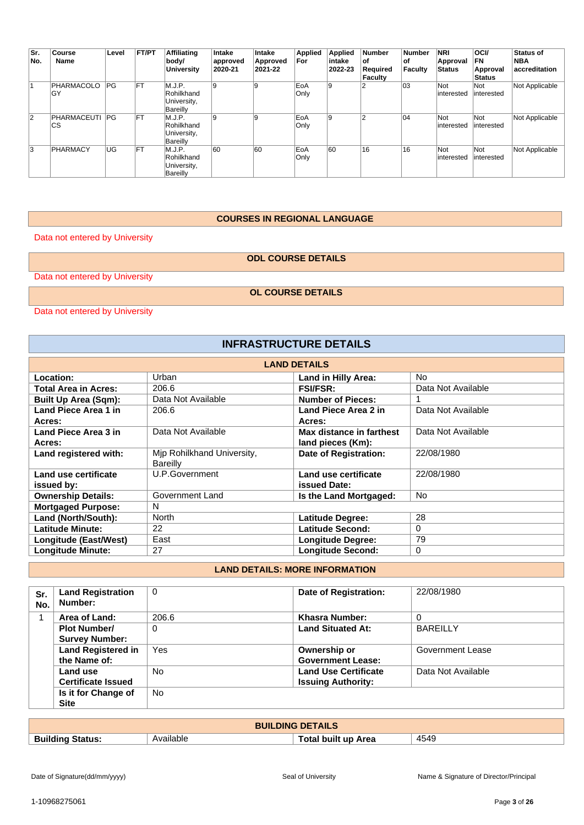| Sr.<br>No.     | Course<br>Name           | Level     | FT/PT      | <b>Affiliating</b><br>body/<br><b>University</b>       | Intake<br>approved<br>2020-21 | Intake<br>Approved<br>2021-22 | <b>Applied</b><br>For | <b>Applied</b><br>intake<br>2022-23 | <b>Number</b><br>∣of<br>Required<br><b>Faculty</b> | <b>Number</b><br>οf<br>Faculty | <b>NRI</b><br>Approval<br><b>Status</b> | <b>OCI/</b><br><b>FN</b><br>Approval<br>Status | <b>Status of</b><br><b>NBA</b><br>accreditation |
|----------------|--------------------------|-----------|------------|--------------------------------------------------------|-------------------------------|-------------------------------|-----------------------|-------------------------------------|----------------------------------------------------|--------------------------------|-----------------------------------------|------------------------------------------------|-------------------------------------------------|
|                | PHARMACOLO<br>۱GY        | PG        | <b>IFT</b> | M.J.P.<br>Rohilkhand<br>University,<br>Bareilly        | 9                             | 19                            | EoA<br>Only           | 9                                   |                                                    | 03                             | Not<br>interested                       | Not<br>interested                              | Not Applicable                                  |
| $\overline{2}$ | PHARMACEUTI<br><b>CS</b> | PG        | <b>IFT</b> | M.J.P.<br>Rohilkhand<br>University,<br>Bareilly        | 9                             | 19                            | EoA<br>Only           | 9                                   |                                                    | 04                             | Not<br>interested                       | Not<br>interested                              | Not Applicable                                  |
| 3              | PHARMACY                 | <b>UG</b> | <b>IFT</b> | M.J.P.<br>Rohilkhand<br>University,<br><b>Bareilly</b> | 60                            | 60                            | EoA<br>Only           | 60                                  | 16                                                 | 16                             | Not<br>interested                       | Not<br>interested                              | Not Applicable                                  |

#### **COURSES IN REGIONAL LANGUAGE**

Data not entered by University

## **ODL COURSE DETAILS**

Data not entered by University

**OL COURSE DETAILS**

Data not entered by University

| <b>INFRASTRUCTURE DETAILS</b> |                            |                              |                    |  |  |
|-------------------------------|----------------------------|------------------------------|--------------------|--|--|
|                               |                            | <b>LAND DETAILS</b>          |                    |  |  |
| Location:                     | Urban                      | Land in Hilly Area:          | N <sub>o</sub>     |  |  |
| <b>Total Area in Acres:</b>   | 206.6                      | <b>FSI/FSR:</b>              | Data Not Available |  |  |
| <b>Built Up Area (Sqm):</b>   | Data Not Available         | <b>Number of Pieces:</b>     |                    |  |  |
| Land Piece Area 1 in          | 206.6                      | Land Piece Area 2 in         | Data Not Available |  |  |
| Acres:                        |                            | Acres:                       |                    |  |  |
| Land Piece Area 3 in          | Data Not Available         | Max distance in farthest     | Data Not Available |  |  |
| Acres:                        |                            | land pieces (Km):            |                    |  |  |
| Land registered with:         | Mjp Rohilkhand University, | <b>Date of Registration:</b> | 22/08/1980         |  |  |
|                               | <b>Bareilly</b>            |                              |                    |  |  |
| Land use certificate          | U.P.Government             | Land use certificate         | 22/08/1980         |  |  |
| issued by:                    |                            | issued Date:                 |                    |  |  |
| <b>Ownership Details:</b>     | Government Land            | Is the Land Mortgaged:       | <b>No</b>          |  |  |
| <b>Mortgaged Purpose:</b>     | N                          |                              |                    |  |  |
| Land (North/South):           | <b>North</b>               | <b>Latitude Degree:</b>      | 28                 |  |  |
| <b>Latitude Minute:</b>       | 22                         | Latitude Second:             | 0                  |  |  |
| Longitude (East/West)         | East                       | <b>Longitude Degree:</b>     | 79                 |  |  |
| <b>Longitude Minute:</b>      | 27                         | <b>Longitude Second:</b>     | $\Omega$           |  |  |

## **LAND DETAILS: MORE INFORMATION**

| Sr.<br>No. | <b>Land Registration</b><br>Number: | 0         | Date of Registration:       | 22/08/1980         |
|------------|-------------------------------------|-----------|-----------------------------|--------------------|
|            | Area of Land:                       | 206.6     | Khasra Number:              | 0                  |
|            | <b>Plot Number/</b>                 | $\Omega$  | <b>Land Situated At:</b>    | <b>BAREILLY</b>    |
|            | <b>Survey Number:</b>               |           |                             |                    |
|            | <b>Land Registered in</b>           | Yes       | Ownership or                | Government Lease   |
|            | the Name of:                        |           | <b>Government Lease:</b>    |                    |
|            | Land use                            | <b>No</b> | <b>Land Use Certificate</b> | Data Not Available |
|            | <b>Certificate Issued</b>           |           | <b>Issuing Authority:</b>   |                    |
|            | Is it for Change of                 | No.       |                             |                    |
|            | <b>Site</b>                         |           |                             |                    |

| <b>BUILDING DETAILS</b>    |           |                            |      |  |
|----------------------------|-----------|----------------------------|------|--|
| <b>Building</b><br>Status. | Available | <b>Fotal built up Area</b> | 4549 |  |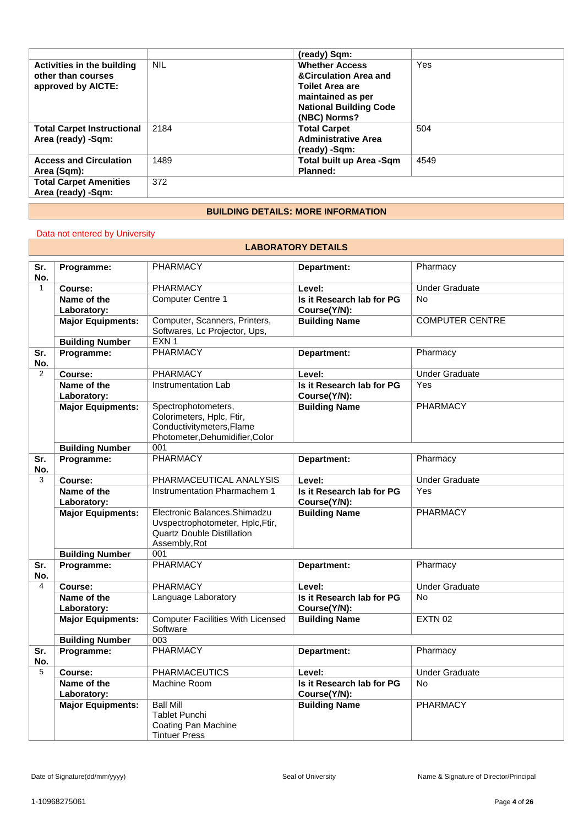|                                   |            | (ready) Sqm:                        |      |
|-----------------------------------|------------|-------------------------------------|------|
| Activities in the building        | <b>NIL</b> | <b>Whether Access</b>               | Yes  |
| other than courses                |            | <b>&amp;Circulation Area and</b>    |      |
| approved by AICTE:                |            | <b>Toilet Area are</b>              |      |
|                                   |            | maintained as per                   |      |
|                                   |            | <b>National Building Code</b>       |      |
|                                   |            | (NBC) Norms?                        |      |
| <b>Total Carpet Instructional</b> | 2184       | <b>Total Carpet</b>                 | 504  |
| Area (ready) -Sqm:                |            | <b>Administrative Area</b>          |      |
|                                   |            | (ready) -Sqm:                       |      |
| <b>Access and Circulation</b>     | 1489       | <b>Total built up Area -Sqm</b>     | 4549 |
| Area (Sqm):                       |            | Planned:                            |      |
| <b>Total Carpet Amenities</b>     | 372        |                                     |      |
| Area (ready) -Sqm:                |            |                                     |      |
|                                   |            | BUU BINA BETAU A. MABE INFABMATIANI |      |

#### **BUILDING DETAILS: MORE INFORMATION**

## Data not entered by University

#### **LABORATORY DETAILS**

| Sr.<br>No.     | Programme:                 | <b>PHARMACY</b>                                                                                                         | Department:                               | Pharmacy               |
|----------------|----------------------------|-------------------------------------------------------------------------------------------------------------------------|-------------------------------------------|------------------------|
| $\mathbf{1}$   | Course:                    | <b>PHARMACY</b>                                                                                                         | Level:                                    | <b>Under Graduate</b>  |
|                | Name of the<br>Laboratory: | Computer Centre 1                                                                                                       | Is it Research lab for PG<br>Course(Y/N): | <b>No</b>              |
|                | <b>Major Equipments:</b>   | Computer, Scanners, Printers,<br>Softwares, Lc Projector, Ups,                                                          | <b>Building Name</b>                      | <b>COMPUTER CENTRE</b> |
|                | <b>Building Number</b>     | EXN <sub>1</sub>                                                                                                        |                                           |                        |
| Sr.<br>No.     | Programme:                 | <b>PHARMACY</b>                                                                                                         | Department:                               | Pharmacy               |
| 2              | Course:                    | <b>PHARMACY</b>                                                                                                         | Level:                                    | <b>Under Graduate</b>  |
|                | Name of the<br>Laboratory: | Instrumentation Lab                                                                                                     | Is it Research lab for PG<br>Course(Y/N): | Yes                    |
|                | <b>Major Equipments:</b>   | Spectrophotometers,<br>Colorimeters, Hplc, Ftir,<br>Conductivitymeters, Flame<br>Photometer, Dehumidifier, Color        | <b>Building Name</b>                      | PHARMACY               |
|                | <b>Building Number</b>     | 001                                                                                                                     |                                           |                        |
| Sr.<br>No.     | Programme:                 | <b>PHARMACY</b>                                                                                                         | Department:                               | Pharmacy               |
| 3              | Course:                    | PHARMACEUTICAL ANALYSIS                                                                                                 | Level:                                    | <b>Under Graduate</b>  |
|                | Name of the<br>Laboratory: | Instrumentation Pharmachem 1                                                                                            | Is it Research lab for PG<br>Course(Y/N): | Yes                    |
|                | <b>Major Equipments:</b>   | Electronic Balances. Shimadzu<br>Uvspectrophotometer, Hplc, Ftir,<br><b>Quartz Double Distillation</b><br>Assembly, Rot | <b>Building Name</b>                      | <b>PHARMACY</b>        |
|                | <b>Building Number</b>     | 001                                                                                                                     |                                           |                        |
| Sr.<br>No.     | Programme:                 | <b>PHARMACY</b>                                                                                                         | Department:                               | Pharmacy               |
| $\overline{4}$ | Course:                    | <b>PHARMACY</b>                                                                                                         | Level:                                    | <b>Under Graduate</b>  |
|                | Name of the<br>Laboratory: | Language Laboratory                                                                                                     | Is it Research lab for PG<br>Course(Y/N): | <b>No</b>              |
|                | <b>Major Equipments:</b>   | <b>Computer Facilities With Licensed</b><br>Software                                                                    | <b>Building Name</b>                      | <b>EXTN 02</b>         |
|                | <b>Building Number</b>     | 003                                                                                                                     |                                           |                        |
| Sr.<br>No.     | Programme:                 | <b>PHARMACY</b>                                                                                                         | Department:                               | Pharmacy               |
| 5              | Course:                    | <b>PHARMACEUTICS</b>                                                                                                    | Level:                                    | <b>Under Graduate</b>  |
|                | Name of the<br>Laboratory: | Machine Room                                                                                                            | Is it Research lab for PG<br>Course(Y/N): | <b>No</b>              |
|                | <b>Major Equipments:</b>   | <b>Ball Mill</b><br><b>Tablet Punchi</b><br><b>Coating Pan Machine</b><br><b>Tintuer Press</b>                          | <b>Building Name</b>                      | <b>PHARMACY</b>        |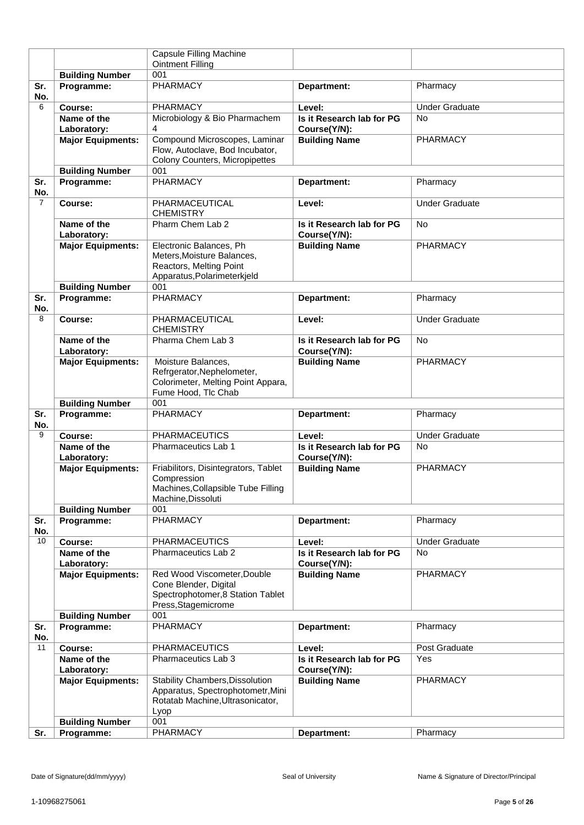|                |                            | Capsule Filling Machine                                                                                          |                                           |                       |
|----------------|----------------------------|------------------------------------------------------------------------------------------------------------------|-------------------------------------------|-----------------------|
|                |                            | <b>Ointment Filling</b>                                                                                          |                                           |                       |
|                | <b>Building Number</b>     | 001                                                                                                              |                                           |                       |
| Sr.<br>No.     | Programme:                 | <b>PHARMACY</b>                                                                                                  | Department:                               | Pharmacy              |
| 6              | Course:                    | PHARMACY                                                                                                         | Level:                                    | <b>Under Graduate</b> |
|                | Name of the                | Microbiology & Bio Pharmachem                                                                                    | Is it Research lab for PG                 | <b>No</b>             |
|                | Laboratory:                | 4                                                                                                                | Course(Y/N):                              |                       |
|                | <b>Major Equipments:</b>   | Compound Microscopes, Laminar<br>Flow, Autoclave, Bod Incubator,<br>Colony Counters, Micropipettes               | <b>Building Name</b>                      | PHARMACY              |
|                | <b>Building Number</b>     | 001                                                                                                              |                                           |                       |
| Sr.<br>No.     | Programme:                 | PHARMACY                                                                                                         | Department:                               | Pharmacy              |
| $\overline{7}$ | Course:                    | PHARMACEUTICAL<br><b>CHEMISTRY</b>                                                                               | Level:                                    | <b>Under Graduate</b> |
|                | Name of the<br>Laboratory: | Pharm Chem Lab 2                                                                                                 | Is it Research lab for PG<br>Course(Y/N): | No                    |
|                | <b>Major Equipments:</b>   | Electronic Balances, Ph<br>Meters, Moisture Balances,<br>Reactors, Melting Point<br>Apparatus, Polarimeterkjeld  | <b>Building Name</b>                      | PHARMACY              |
|                | <b>Building Number</b>     | 001                                                                                                              |                                           |                       |
| Sr.<br>No.     | Programme:                 | PHARMACY                                                                                                         | Department:                               | Pharmacy              |
| 8              | Course:                    | PHARMACEUTICAL<br><b>CHEMISTRY</b>                                                                               | Level:                                    | <b>Under Graduate</b> |
|                | Name of the<br>Laboratory: | Pharma Chem Lab 3                                                                                                | Is it Research lab for PG<br>Course(Y/N): | <b>No</b>             |
|                | <b>Major Equipments:</b>   | Moisture Balances,<br>Refrgerator, Nephelometer,<br>Colorimeter, Melting Point Appara,<br>Fume Hood, Tlc Chab    | <b>Building Name</b>                      | PHARMACY              |
|                | <b>Building Number</b>     | 001                                                                                                              |                                           |                       |
| Sr.<br>No.     | Programme:                 | PHARMACY                                                                                                         | Department:                               | Pharmacy              |
| 9              | Course:                    | <b>PHARMACEUTICS</b>                                                                                             | Level:                                    | <b>Under Graduate</b> |
|                | Name of the                | Pharmaceutics Lab 1                                                                                              | Is it Research lab for PG                 | <b>No</b>             |
|                | Laboratory:                |                                                                                                                  | Course(Y/N):                              |                       |
|                | <b>Major Equipments:</b>   | Friabilitors, Disintegrators, Tablet<br>Compression<br>Machines, Collapsible Tube Filling<br>Machine, Dissoluti  | <b>Building Name</b>                      | PHARMACY              |
|                | <b>Building Number</b>     | 001                                                                                                              |                                           |                       |
| Sr.<br>No.     | Programme:                 | <b>PHARMACY</b>                                                                                                  | Department:                               | Pharmacy              |
| 10             | Course:                    | <b>PHARMACEUTICS</b>                                                                                             | Level:                                    | <b>Under Graduate</b> |
|                | Name of the                | Pharmaceutics Lab 2                                                                                              | Is it Research lab for PG                 | <b>No</b>             |
|                | Laboratory:                |                                                                                                                  | Course(Y/N):                              |                       |
|                | <b>Major Equipments:</b>   | Red Wood Viscometer, Double<br>Cone Blender, Digital<br>Spectrophotomer, 8 Station Tablet<br>Press, Stagemicrome | <b>Building Name</b>                      | <b>PHARMACY</b>       |
|                | <b>Building Number</b>     | 001                                                                                                              |                                           |                       |
| Sr.<br>No.     | Programme:                 | <b>PHARMACY</b>                                                                                                  | Department:                               | Pharmacy              |
| 11             | Course:                    | <b>PHARMACEUTICS</b>                                                                                             | Level:                                    | Post Graduate         |
|                | Name of the<br>Laboratory: | Pharmaceutics Lab 3                                                                                              | Is it Research lab for PG<br>Course(Y/N): | Yes                   |
|                | <b>Major Equipments:</b>   | <b>Stability Chambers, Dissolution</b>                                                                           | <b>Building Name</b>                      | PHARMACY              |
|                |                            | Apparatus, Spectrophotometr, Mini<br>Rotatab Machine, Ultrasonicator,<br>Lyop                                    |                                           |                       |
|                | <b>Building Number</b>     | 001                                                                                                              |                                           |                       |
| Sr.            | Programme:                 | PHARMACY                                                                                                         | Department:                               | Pharmacy              |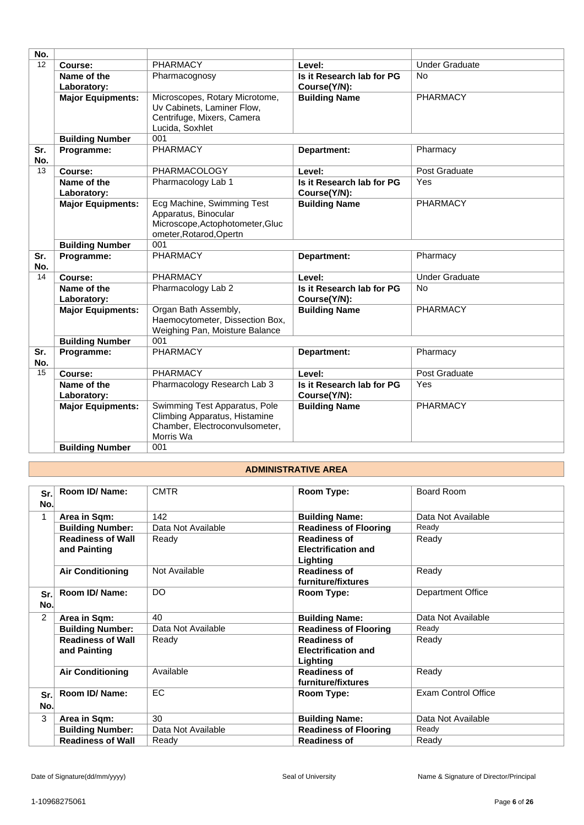| No.        |                            |                                                                                                                   |                                           |                       |
|------------|----------------------------|-------------------------------------------------------------------------------------------------------------------|-------------------------------------------|-----------------------|
| 12         | Course:                    | <b>PHARMACY</b>                                                                                                   | Level:                                    | <b>Under Graduate</b> |
|            | Name of the                | Pharmacognosy                                                                                                     | Is it Research lab for PG                 | <b>No</b>             |
|            | Laboratory:                |                                                                                                                   | Course(Y/N):                              |                       |
|            | <b>Major Equipments:</b>   | Microscopes, Rotary Microtome,<br>Uv Cabinets, Laminer Flow,<br>Centrifuge, Mixers, Camera<br>Lucida, Soxhlet     | <b>Building Name</b>                      | PHARMACY              |
|            | <b>Building Number</b>     | 001                                                                                                               |                                           |                       |
| Sr.<br>No. | Programme:                 | <b>PHARMACY</b>                                                                                                   | Department:                               | Pharmacy              |
| 13         | Course:                    | PHARMACOLOGY                                                                                                      | Level:                                    | Post Graduate         |
|            | Name of the                | Pharmacology Lab 1                                                                                                | Is it Research lab for PG                 | Yes                   |
|            | Laboratory:                |                                                                                                                   | Course(Y/N):                              |                       |
|            | <b>Major Equipments:</b>   | Ecg Machine, Swimming Test<br>Apparatus, Binocular<br>Microscope, Actophotometer, Gluc<br>ometer, Rotarod, Opertn | <b>Building Name</b>                      | <b>PHARMACY</b>       |
|            | <b>Building Number</b>     | 001                                                                                                               |                                           |                       |
| Sr.<br>No. | Programme:                 | <b>PHARMACY</b>                                                                                                   | Department:                               | Pharmacy              |
| 14         | Course:                    | <b>PHARMACY</b>                                                                                                   | Level:                                    | <b>Under Graduate</b> |
|            | Name of the<br>Laboratory: | Pharmacology Lab 2                                                                                                | Is it Research lab for PG<br>Course(Y/N): | <b>No</b>             |
|            | <b>Major Equipments:</b>   | Organ Bath Assembly,<br>Haemocytometer, Dissection Box,<br>Weighing Pan, Moisture Balance                         | <b>Building Name</b>                      | <b>PHARMACY</b>       |
|            | <b>Building Number</b>     | 001                                                                                                               |                                           |                       |
| Sr.        | Programme:                 | <b>PHARMACY</b>                                                                                                   | Department:                               | Pharmacy              |
| No.        |                            |                                                                                                                   |                                           |                       |
| 15         | Course:                    | <b>PHARMACY</b>                                                                                                   | Level:                                    | Post Graduate         |
|            | Name of the<br>Laboratory: | Pharmacology Research Lab 3                                                                                       | Is it Research lab for PG<br>Course(Y/N): | Yes                   |
|            | <b>Major Equipments:</b>   | Swimming Test Apparatus, Pole<br>Climbing Apparatus, Histamine<br>Chamber, Electroconvulsometer,<br>Morris Wa     | <b>Building Name</b>                      | <b>PHARMACY</b>       |
|            | <b>Building Number</b>     | 001                                                                                                               |                                           |                       |

## **ADMINISTRATIVE AREA**

| Sr.<br>No.     | Room ID/Name:                            | <b>CMTR</b>        | Room Type:                                                    | Board Room                 |
|----------------|------------------------------------------|--------------------|---------------------------------------------------------------|----------------------------|
| $\mathbf{1}$   | Area in Sqm:                             | 142                | <b>Building Name:</b>                                         | Data Not Available         |
|                | <b>Building Number:</b>                  | Data Not Available | <b>Readiness of Flooring</b>                                  | Ready                      |
|                | <b>Readiness of Wall</b><br>and Painting | Ready              | <b>Readiness of</b><br><b>Electrification and</b><br>Lighting | Ready                      |
|                | <b>Air Conditioning</b>                  | Not Available      | <b>Readiness of</b><br>furniture/fixtures                     | Ready                      |
| Sr.<br>No.     | Room ID/ Name:                           | <b>DO</b>          | Room Type:                                                    | Department Office          |
| $\overline{2}$ | Area in Sqm:                             | 40                 | <b>Building Name:</b>                                         | Data Not Available         |
|                | <b>Building Number:</b>                  | Data Not Available | <b>Readiness of Flooring</b>                                  | Ready                      |
|                | <b>Readiness of Wall</b><br>and Painting | Ready              | <b>Readiness of</b><br><b>Electrification and</b><br>Lighting | Ready                      |
|                | <b>Air Conditioning</b>                  | Available          | <b>Readiness of</b><br>furniture/fixtures                     | Ready                      |
| Sr.<br>No.     | Room ID/Name:                            | EC.                | Room Type:                                                    | <b>Exam Control Office</b> |
| 3              | Area in Sqm:                             | 30                 | <b>Building Name:</b>                                         | Data Not Available         |
|                | <b>Building Number:</b>                  | Data Not Available | <b>Readiness of Flooring</b>                                  | Ready                      |
|                | <b>Readiness of Wall</b>                 | Ready              | <b>Readiness of</b>                                           | Ready                      |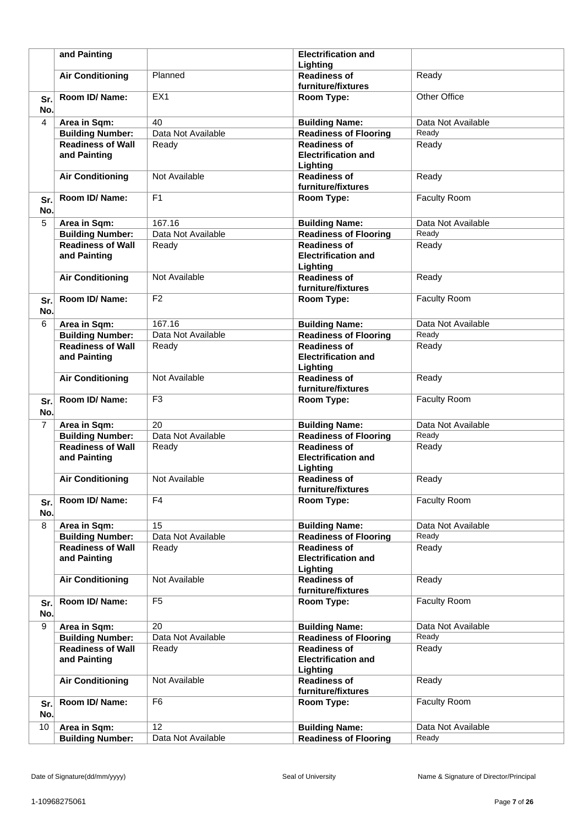|            | and Painting             |                    | <b>Electrification and</b>   |                     |
|------------|--------------------------|--------------------|------------------------------|---------------------|
|            |                          |                    | Lighting                     |                     |
|            | <b>Air Conditioning</b>  | Planned            | <b>Readiness of</b>          | Ready               |
|            |                          |                    | furniture/fixtures           |                     |
| Sr.        | Room ID/ Name:           | EX1                | Room Type:                   | Other Office        |
| No.        |                          |                    |                              |                     |
| 4          | Area in Sqm:             | 40                 | <b>Building Name:</b>        | Data Not Available  |
|            | <b>Building Number:</b>  | Data Not Available | <b>Readiness of Flooring</b> | Ready               |
|            | <b>Readiness of Wall</b> | Ready              | <b>Readiness of</b>          | Ready               |
|            | and Painting             |                    | <b>Electrification and</b>   |                     |
|            |                          |                    | Lighting                     |                     |
|            | <b>Air Conditioning</b>  | Not Available      | <b>Readiness of</b>          | Ready               |
|            |                          |                    | furniture/fixtures           |                     |
|            | Room ID/ Name:           | F <sub>1</sub>     | Room Type:                   | Faculty Room        |
| Sr.<br>No. |                          |                    |                              |                     |
|            |                          |                    |                              |                     |
| 5          | Area in Sqm:             | 167.16             | <b>Building Name:</b>        | Data Not Available  |
|            | <b>Building Number:</b>  | Data Not Available | <b>Readiness of Flooring</b> | Ready               |
|            | <b>Readiness of Wall</b> | Ready              | <b>Readiness of</b>          | Ready               |
|            | and Painting             |                    | <b>Electrification and</b>   |                     |
|            |                          |                    | Lighting                     |                     |
|            | <b>Air Conditioning</b>  | Not Available      | <b>Readiness of</b>          | Ready               |
|            |                          |                    | furniture/fixtures           |                     |
| Sr.        | Room ID/Name:            | F <sub>2</sub>     | Room Type:                   | <b>Faculty Room</b> |
| No.        |                          |                    |                              |                     |
| 6          | Area in Sqm:             | 167.16             | <b>Building Name:</b>        | Data Not Available  |
|            | <b>Building Number:</b>  | Data Not Available | <b>Readiness of Flooring</b> | Ready               |
|            | <b>Readiness of Wall</b> | Ready              | <b>Readiness of</b>          | Ready               |
|            | and Painting             |                    | <b>Electrification and</b>   |                     |
|            |                          |                    | Lighting                     |                     |
|            | <b>Air Conditioning</b>  | Not Available      | <b>Readiness of</b>          | Ready               |
|            |                          |                    | furniture/fixtures           |                     |
| Sr.        | Room ID/ Name:           | F <sub>3</sub>     | Room Type:                   | Faculty Room        |
| No.        |                          |                    |                              |                     |
| 7          | Area in Sqm:             | 20                 | <b>Building Name:</b>        | Data Not Available  |
|            | <b>Building Number:</b>  | Data Not Available | <b>Readiness of Flooring</b> | Ready               |
|            | <b>Readiness of Wall</b> | Ready              | <b>Readiness of</b>          | Ready               |
|            | and Painting             |                    | <b>Electrification and</b>   |                     |
|            |                          |                    | Lighting                     |                     |
|            | <b>Air Conditioning</b>  | Not Available      | <b>Readiness of</b>          | Ready               |
|            |                          |                    | furniture/fixtures           |                     |
| Sr.        | Room ID/ Name:           | F4                 | Room Type:                   | Faculty Room        |
| No.        |                          |                    |                              |                     |
| 8          | Area in Sqm:             | 15                 | <b>Building Name:</b>        | Data Not Available  |
|            | <b>Building Number:</b>  | Data Not Available | <b>Readiness of Flooring</b> | Ready               |
|            | <b>Readiness of Wall</b> | Ready              | <b>Readiness of</b>          | Ready               |
|            | and Painting             |                    | <b>Electrification and</b>   |                     |
|            |                          |                    | Lighting                     |                     |
|            | <b>Air Conditioning</b>  | Not Available      | <b>Readiness of</b>          | Ready               |
|            |                          |                    | furniture/fixtures           |                     |
| Sr.        | Room ID/Name:            | F <sub>5</sub>     | Room Type:                   | Faculty Room        |
| No.        |                          |                    |                              |                     |
| 9          | Area in Sqm:             | 20                 | <b>Building Name:</b>        | Data Not Available  |
|            | <b>Building Number:</b>  | Data Not Available | <b>Readiness of Flooring</b> | Ready               |
|            | <b>Readiness of Wall</b> | Ready              | <b>Readiness of</b>          | Ready               |
|            | and Painting             |                    | <b>Electrification and</b>   |                     |
|            |                          |                    | Lighting                     |                     |
|            | <b>Air Conditioning</b>  | Not Available      | <b>Readiness of</b>          | Ready               |
|            |                          |                    | furniture/fixtures           |                     |
| Sr.        | Room ID/ Name:           | F <sub>6</sub>     | Room Type:                   | <b>Faculty Room</b> |
| No.        |                          |                    |                              |                     |
|            |                          |                    |                              |                     |
| 10         | Area in Sqm:             | $\overline{12}$    | <b>Building Name:</b>        | Data Not Available  |
|            | <b>Building Number:</b>  | Data Not Available | <b>Readiness of Flooring</b> | Ready               |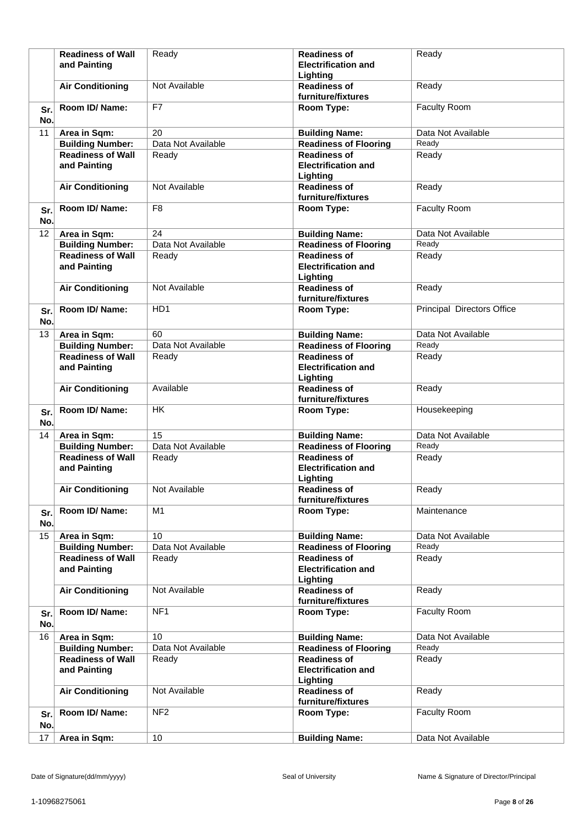|            | <b>Readiness of Wall</b><br>and Painting | Ready                    | <b>Readiness of</b><br><b>Electrification and</b><br>Lighting | Ready                      |
|------------|------------------------------------------|--------------------------|---------------------------------------------------------------|----------------------------|
|            | <b>Air Conditioning</b>                  | Not Available            | <b>Readiness of</b><br>furniture/fixtures                     | Ready                      |
| Sr.<br>No. | Room ID/Name:                            | F7                       | Room Type:                                                    | Faculty Room               |
| 11         | Area in Sqm:                             | 20                       | <b>Building Name:</b>                                         | Data Not Available         |
|            | <b>Building Number:</b>                  | Data Not Available       | <b>Readiness of Flooring</b>                                  | Ready                      |
|            | <b>Readiness of Wall</b><br>and Painting | Ready                    | <b>Readiness of</b><br><b>Electrification and</b><br>Lighting | Ready                      |
|            | <b>Air Conditioning</b>                  | Not Available            | <b>Readiness of</b><br>furniture/fixtures                     | Ready                      |
| Sr.<br>No. | Room ID/ Name:                           | F <sub>8</sub>           | Room Type:                                                    | Faculty Room               |
| 12         | Area in Sqm:                             | 24                       | <b>Building Name:</b>                                         | Data Not Available         |
|            | <b>Building Number:</b>                  | Data Not Available       | <b>Readiness of Flooring</b>                                  | Ready                      |
|            | <b>Readiness of Wall</b><br>and Painting | Ready                    | <b>Readiness of</b><br><b>Electrification and</b><br>Lighting | Ready                      |
|            | <b>Air Conditioning</b>                  | Not Available            | <b>Readiness of</b><br>furniture/fixtures                     | Ready                      |
| Sr.<br>No. | Room ID/Name:                            | HD1                      | Room Type:                                                    | Principal Directors Office |
| 13         | Area in Sqm:                             | 60                       | <b>Building Name:</b>                                         | Data Not Available         |
|            | <b>Building Number:</b>                  | Data Not Available       | <b>Readiness of Flooring</b>                                  | Ready                      |
|            | <b>Readiness of Wall</b><br>and Painting | Ready                    | <b>Readiness of</b><br><b>Electrification and</b><br>Lighting | Ready                      |
|            | <b>Air Conditioning</b>                  | Available                | <b>Readiness of</b><br>furniture/fixtures                     | Ready                      |
| Sr.<br>No. | Room ID/Name:                            | $\overline{\mathsf{HK}}$ | Room Type:                                                    | Housekeeping               |
| 14         | Area in Sqm:                             | 15                       | <b>Building Name:</b>                                         | Data Not Available         |
|            | <b>Building Number:</b>                  | Data Not Available       | <b>Readiness of Flooring</b>                                  | Ready                      |
|            | <b>Readiness of Wall</b><br>and Painting | Ready                    | <b>Readiness of</b><br><b>Electrification and</b><br>Lighting | Ready                      |
|            | <b>Air Conditioning</b>                  | Not Available            | <b>Readiness of</b><br>furniture/fixtures                     | Ready                      |
| Sr.<br>No. | Room ID/ Name:                           | M1                       | Room Type:                                                    | Maintenance                |
| 15         | Area in Sqm:                             | 10                       | <b>Building Name:</b>                                         | Data Not Available         |
|            | <b>Building Number:</b>                  | Data Not Available       | <b>Readiness of Flooring</b>                                  | Ready                      |
|            | <b>Readiness of Wall</b><br>and Painting | Ready                    | <b>Readiness of</b><br><b>Electrification and</b><br>Lighting | Ready                      |
|            | <b>Air Conditioning</b>                  | Not Available            | <b>Readiness of</b><br>furniture/fixtures                     | Ready                      |
| Sr.<br>No. | Room ID/ Name:                           | NF <sub>1</sub>          | Room Type:                                                    | Faculty Room               |
| 16         | Area in Sqm:                             | 10                       | <b>Building Name:</b>                                         | Data Not Available         |
|            | <b>Building Number:</b>                  | Data Not Available       | <b>Readiness of Flooring</b>                                  | Ready                      |
|            | <b>Readiness of Wall</b><br>and Painting | Ready                    | <b>Readiness of</b><br><b>Electrification and</b><br>Lighting | Ready                      |
|            | <b>Air Conditioning</b>                  | Not Available            | <b>Readiness of</b><br>furniture/fixtures                     | Ready                      |
| Sr.<br>No. | Room ID/Name:                            | NF <sub>2</sub>          | Room Type:                                                    | <b>Faculty Room</b>        |
| 17         | Area in Sqm:                             | 10                       | <b>Building Name:</b>                                         | Data Not Available         |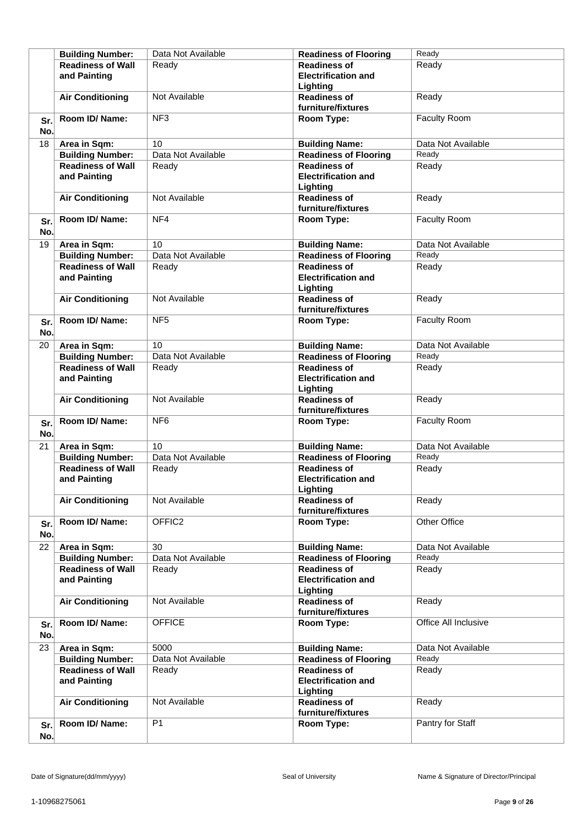|            | <b>Building Number:</b>                  | Data Not Available | <b>Readiness of Flooring</b>                                  | Ready                |
|------------|------------------------------------------|--------------------|---------------------------------------------------------------|----------------------|
|            | <b>Readiness of Wall</b><br>and Painting | Ready              | <b>Readiness of</b><br><b>Electrification and</b>             | Ready                |
|            |                                          |                    | Lighting                                                      |                      |
|            | <b>Air Conditioning</b>                  | Not Available      | <b>Readiness of</b><br>furniture/fixtures                     | Ready                |
| Sr.<br>No. | Room ID/Name:                            | NF <sub>3</sub>    | Room Type:                                                    | Faculty Room         |
| 18         | Area in Sqm:                             | 10                 | <b>Building Name:</b>                                         | Data Not Available   |
|            | <b>Building Number:</b>                  | Data Not Available | <b>Readiness of Flooring</b>                                  | Ready                |
|            | <b>Readiness of Wall</b><br>and Painting | Ready              | <b>Readiness of</b><br><b>Electrification and</b><br>Lighting | Ready                |
|            | <b>Air Conditioning</b>                  | Not Available      | <b>Readiness of</b><br>furniture/fixtures                     | Ready                |
| Sr.<br>No. | Room ID/Name:                            | NF4                | Room Type:                                                    | Faculty Room         |
| 19         | Area in Sqm:                             | 10                 | <b>Building Name:</b>                                         | Data Not Available   |
|            | <b>Building Number:</b>                  | Data Not Available | <b>Readiness of Flooring</b>                                  | Ready                |
|            | <b>Readiness of Wall</b><br>and Painting | Ready              | <b>Readiness of</b><br><b>Electrification and</b><br>Lighting | Ready                |
|            | <b>Air Conditioning</b>                  | Not Available      | <b>Readiness of</b><br>furniture/fixtures                     | Ready                |
| Sr.<br>No. | Room ID/Name:                            | NF <sub>5</sub>    | Room Type:                                                    | Faculty Room         |
| 20         | Area in Sqm:                             | 10                 | <b>Building Name:</b>                                         | Data Not Available   |
|            | <b>Building Number:</b>                  | Data Not Available | <b>Readiness of Flooring</b>                                  | Ready                |
|            | <b>Readiness of Wall</b><br>and Painting | Ready              | <b>Readiness of</b><br><b>Electrification and</b><br>Lighting | Ready                |
|            | <b>Air Conditioning</b>                  | Not Available      | <b>Readiness of</b><br>furniture/fixtures                     | Ready                |
| Sr.<br>No. | Room ID/Name:                            | NF <sub>6</sub>    | Room Type:                                                    | <b>Faculty Room</b>  |
| 21         | Area in Sqm:                             | 10                 | <b>Building Name:</b>                                         | Data Not Available   |
|            | <b>Building Number:</b>                  | Data Not Available | <b>Readiness of Flooring</b>                                  | Ready                |
|            | <b>Readiness of Wall</b><br>and Painting | Ready              | <b>Readiness of</b><br><b>Electrification and</b><br>Lighting | Ready                |
|            | <b>Air Conditioning</b>                  | Not Available      | <b>Readiness of</b><br>furniture/fixtures                     | Ready                |
| Sr.<br>No. | Room ID/Name:                            | OFFIC <sub>2</sub> | Room Type:                                                    | Other Office         |
| 22         | Area in Sqm:                             | 30                 | <b>Building Name:</b>                                         | Data Not Available   |
|            | <b>Building Number:</b>                  | Data Not Available | <b>Readiness of Flooring</b>                                  | Ready                |
|            | <b>Readiness of Wall</b><br>and Painting | Ready              | <b>Readiness of</b><br><b>Electrification and</b><br>Lighting | Ready                |
|            | <b>Air Conditioning</b>                  | Not Available      | <b>Readiness of</b><br>furniture/fixtures                     | Ready                |
| Sr.<br>No. | Room ID/ Name:                           | <b>OFFICE</b>      | Room Type:                                                    | Office All Inclusive |
| 23         | Area in Sqm:                             | 5000               | <b>Building Name:</b>                                         | Data Not Available   |
|            | <b>Building Number:</b>                  | Data Not Available | <b>Readiness of Flooring</b>                                  | Ready                |
|            | <b>Readiness of Wall</b><br>and Painting | Ready              | <b>Readiness of</b><br><b>Electrification and</b><br>Lighting | Ready                |
|            | <b>Air Conditioning</b>                  | Not Available      | <b>Readiness of</b><br>furniture/fixtures                     | Ready                |
| Sr.<br>No. | Room ID/ Name:                           | P <sub>1</sub>     | Room Type:                                                    | Pantry for Staff     |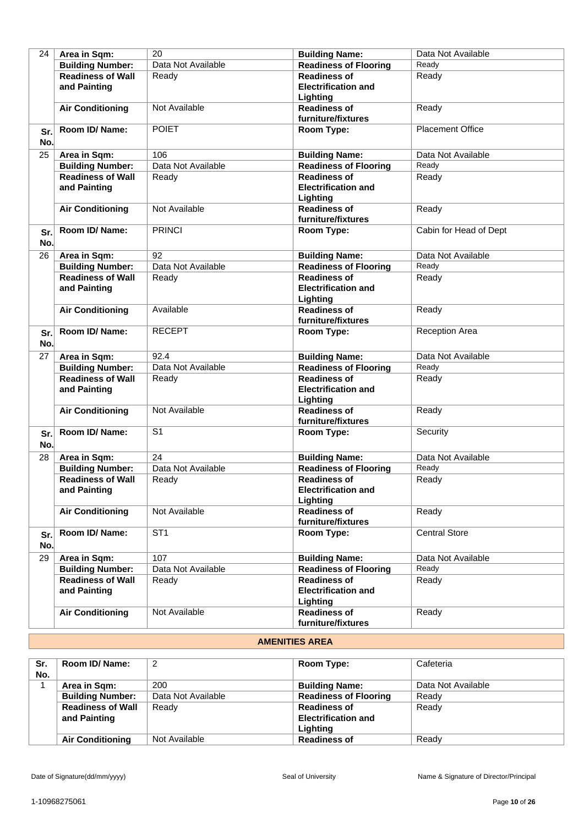| 24         | Area in Sqm:                                        | 20                 | <b>Building Name:</b>                                 | Data Not Available      |
|------------|-----------------------------------------------------|--------------------|-------------------------------------------------------|-------------------------|
|            | <b>Building Number:</b>                             | Data Not Available | <b>Readiness of Flooring</b>                          | Ready                   |
|            | <b>Readiness of Wall</b>                            | Ready              | <b>Readiness of</b>                                   | Ready                   |
|            | and Painting                                        |                    | <b>Electrification and</b>                            |                         |
|            |                                                     |                    | Lighting                                              |                         |
|            | <b>Air Conditioning</b>                             | Not Available      | <b>Readiness of</b>                                   | Ready                   |
|            |                                                     |                    | furniture/fixtures                                    |                         |
|            | Room ID/ Name:                                      | <b>POIET</b>       |                                                       | <b>Placement Office</b> |
| Sr.<br>No. |                                                     |                    | Room Type:                                            |                         |
| 25         | Area in Sqm:                                        | 106                | <b>Building Name:</b>                                 | Data Not Available      |
|            | <b>Building Number:</b>                             | Data Not Available | <b>Readiness of Flooring</b>                          | Ready                   |
|            | <b>Readiness of Wall</b>                            | Ready              | <b>Readiness of</b>                                   | Ready                   |
|            | and Painting                                        |                    | <b>Electrification and</b>                            |                         |
|            |                                                     |                    | Lighting                                              |                         |
|            | <b>Air Conditioning</b>                             | Not Available      | <b>Readiness of</b>                                   | Ready                   |
|            |                                                     |                    | furniture/fixtures                                    |                         |
| Sr.        | Room ID/ Name:                                      | <b>PRINCI</b>      | Room Type:                                            | Cabin for Head of Dept  |
| No.        |                                                     |                    |                                                       |                         |
| 26         | Area in Sqm:                                        | 92                 | <b>Building Name:</b>                                 | Data Not Available      |
|            | <b>Building Number:</b>                             | Data Not Available | <b>Readiness of Flooring</b>                          | Ready                   |
|            | <b>Readiness of Wall</b>                            | Ready              | <b>Readiness of</b>                                   | Ready                   |
|            | and Painting                                        |                    | <b>Electrification and</b>                            |                         |
|            |                                                     |                    | Lighting                                              |                         |
|            | <b>Air Conditioning</b>                             | Available          | <b>Readiness of</b>                                   | Ready                   |
|            |                                                     |                    | furniture/fixtures                                    |                         |
|            | Room ID/ Name:                                      | <b>RECEPT</b>      | Room Type:                                            | <b>Reception Area</b>   |
| Sr.<br>No. |                                                     |                    |                                                       |                         |
|            |                                                     | 92.4               |                                                       | Data Not Available      |
| 27         | Area in Sqm:                                        | Data Not Available | <b>Building Name:</b><br><b>Readiness of Flooring</b> | Ready                   |
|            | <b>Building Number:</b><br><b>Readiness of Wall</b> |                    | <b>Readiness of</b>                                   | Ready                   |
|            | and Painting                                        | Ready              | <b>Electrification and</b>                            |                         |
|            |                                                     |                    | Lighting                                              |                         |
|            | <b>Air Conditioning</b>                             | Not Available      | <b>Readiness of</b>                                   | Ready                   |
|            |                                                     |                    | furniture/fixtures                                    |                         |
|            | Room ID/Name:                                       | $\overline{S1}$    | Room Type:                                            | Security                |
| Sr.<br>No. |                                                     |                    |                                                       |                         |
| 28         | Area in Sqm:                                        | 24                 | <b>Building Name:</b>                                 | Data Not Available      |
|            | <b>Building Number:</b>                             | Data Not Available | <b>Readiness of Flooring</b>                          | Ready                   |
|            | <b>Readiness of Wall</b>                            | Ready              | <b>Readiness of</b>                                   | Ready                   |
|            | and Painting                                        |                    | <b>Electrification and</b>                            |                         |
|            |                                                     |                    | Lighting                                              |                         |
|            | <b>Air Conditioning</b>                             | Not Available      | <b>Readiness of</b>                                   | Ready                   |
|            |                                                     |                    | furniture/fixtures                                    |                         |
| Sr.        | Room ID/ Name:                                      | ST <sub>1</sub>    | Room Type:                                            | <b>Central Store</b>    |
| No.        |                                                     |                    |                                                       |                         |
| 29         | Area in Sqm:                                        | 107                | <b>Building Name:</b>                                 | Data Not Available      |
|            | <b>Building Number:</b>                             | Data Not Available | <b>Readiness of Flooring</b>                          | Ready                   |
|            | <b>Readiness of Wall</b>                            | Ready              | <b>Readiness of</b>                                   | Ready                   |
|            | and Painting                                        |                    | <b>Electrification and</b>                            |                         |
|            |                                                     |                    | Lighting                                              |                         |
|            | <b>Air Conditioning</b>                             | Not Available      | <b>Readiness of</b>                                   | Ready                   |
|            |                                                     |                    | furniture/fixtures                                    |                         |

# **AMENITIES AREA**

| Sr. | Room ID/ Name:           | 2                  | Room Type:                   | Cafeteria          |
|-----|--------------------------|--------------------|------------------------------|--------------------|
| No. |                          | 200                |                              | Data Not Available |
|     | Area in Sqm:             |                    | <b>Building Name:</b>        |                    |
|     | <b>Building Number:</b>  | Data Not Available | <b>Readiness of Flooring</b> | Ready              |
|     | <b>Readiness of Wall</b> | Ready              | <b>Readiness of</b>          | Ready              |
|     | and Painting             |                    | <b>Electrification and</b>   |                    |
|     |                          |                    | Lighting                     |                    |
|     | <b>Air Conditioning</b>  | Not Available      | <b>Readiness of</b>          | Ready              |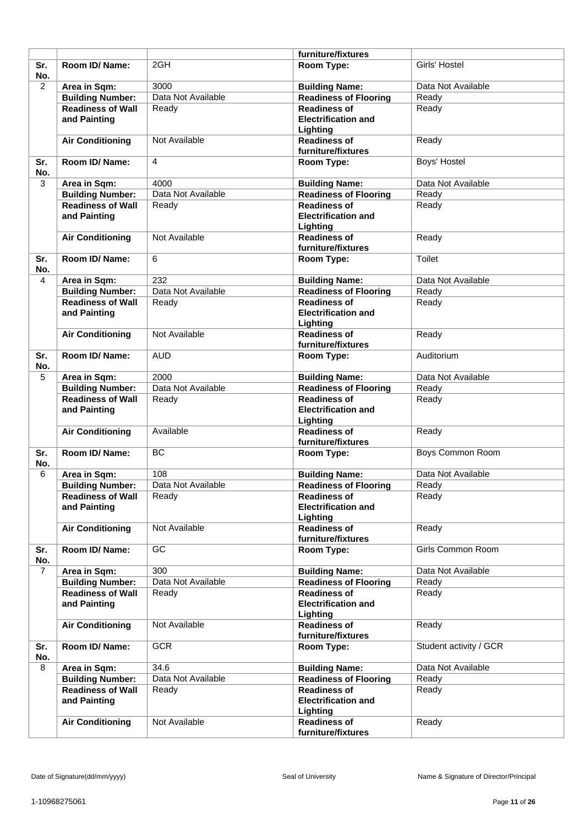|                |                                          |                    | furniture/fixtures                                            |                        |
|----------------|------------------------------------------|--------------------|---------------------------------------------------------------|------------------------|
| Sr.<br>No.     | <b>Room ID/ Name:</b>                    | 2GH                | Room Type:                                                    | Girls' Hostel          |
| $\overline{2}$ | Area in Sqm:                             | 3000               | <b>Building Name:</b>                                         | Data Not Available     |
|                | <b>Building Number:</b>                  | Data Not Available | <b>Readiness of Flooring</b>                                  | Ready                  |
|                | <b>Readiness of Wall</b><br>and Painting | Ready              | <b>Readiness of</b><br><b>Electrification and</b><br>Lighting | Ready                  |
|                | <b>Air Conditioning</b>                  | Not Available      | <b>Readiness of</b><br>furniture/fixtures                     | Ready                  |
| Sr.<br>No.     | Room ID/Name:                            | $\overline{4}$     | Room Type:                                                    | Boys' Hostel           |
| 3              | Area in Sqm:                             | 4000               | <b>Building Name:</b>                                         | Data Not Available     |
|                | <b>Building Number:</b>                  | Data Not Available | <b>Readiness of Flooring</b>                                  | Ready                  |
|                | <b>Readiness of Wall</b><br>and Painting | Ready              | <b>Readiness of</b><br><b>Electrification and</b><br>Lighting | Ready                  |
|                | <b>Air Conditioning</b>                  | Not Available      | <b>Readiness of</b><br>furniture/fixtures                     | Ready                  |
| Sr.<br>No.     | Room ID/ Name:                           | 6                  | Room Type:                                                    | <b>Toilet</b>          |
| 4              | Area in Sqm:                             | 232                | <b>Building Name:</b>                                         | Data Not Available     |
|                | <b>Building Number:</b>                  | Data Not Available | <b>Readiness of Flooring</b>                                  | Ready                  |
|                | <b>Readiness of Wall</b><br>and Painting | Ready              | <b>Readiness of</b><br><b>Electrification and</b><br>Lighting | Ready                  |
|                | <b>Air Conditioning</b>                  | Not Available      | <b>Readiness of</b><br>furniture/fixtures                     | Ready                  |
| Sr.<br>No.     | Room ID/ Name:                           | <b>AUD</b>         | Room Type:                                                    | Auditorium             |
| 5              | Area in Sqm:                             | 2000               | <b>Building Name:</b>                                         | Data Not Available     |
|                | <b>Building Number:</b>                  | Data Not Available | <b>Readiness of Flooring</b>                                  | Ready                  |
|                | <b>Readiness of Wall</b><br>and Painting | Ready              | <b>Readiness of</b><br><b>Electrification and</b><br>Lighting | Ready                  |
|                | <b>Air Conditioning</b>                  | Available          | <b>Readiness of</b><br>furniture/fixtures                     | Ready                  |
| Sr.<br>No.     | Room ID/ Name:                           | <b>BC</b>          | Room Type:                                                    | Boys Common Room       |
| 6              | Area in Sqm:                             | 108                | <b>Building Name:</b>                                         | Data Not Available     |
|                | <b>Building Number:</b>                  | Data Not Available | <b>Readiness of Flooring</b>                                  | Ready                  |
|                | <b>Readiness of Wall</b><br>and Painting | Ready              | <b>Readiness of</b><br><b>Electrification and</b><br>Lighting | Ready                  |
|                | <b>Air Conditioning</b>                  | Not Available      | <b>Readiness of</b><br>furniture/fixtures                     | Ready                  |
| Sr.<br>No.     | Room ID/ Name:                           | GC                 | Room Type:                                                    | Girls Common Room      |
| $\overline{7}$ | Area in Sqm:                             | 300                | <b>Building Name:</b>                                         | Data Not Available     |
|                | <b>Building Number:</b>                  | Data Not Available | <b>Readiness of Flooring</b>                                  | Ready                  |
|                | <b>Readiness of Wall</b><br>and Painting | Ready              | <b>Readiness of</b><br><b>Electrification and</b><br>Lighting | Ready                  |
|                | <b>Air Conditioning</b>                  | Not Available      | <b>Readiness of</b><br>furniture/fixtures                     | Ready                  |
| Sr.<br>No.     | Room ID/ Name:                           | <b>GCR</b>         | Room Type:                                                    | Student activity / GCR |
| 8              | Area in Sqm:                             | 34.6               | <b>Building Name:</b>                                         | Data Not Available     |
|                | <b>Building Number:</b>                  | Data Not Available | <b>Readiness of Flooring</b>                                  | Ready                  |
|                | <b>Readiness of Wall</b><br>and Painting | Ready              | <b>Readiness of</b><br><b>Electrification and</b><br>Lighting | Ready                  |
|                | <b>Air Conditioning</b>                  | Not Available      | <b>Readiness of</b><br>furniture/fixtures                     | Ready                  |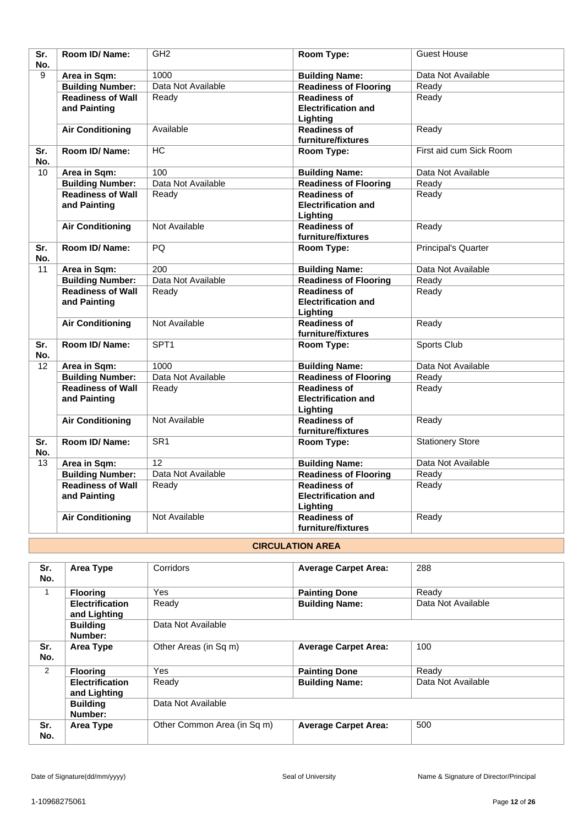| Sr.<br>No.              | Room ID/Name:            | GH <sub>2</sub>         | Room Type:                   | <b>Guest House</b>         |
|-------------------------|--------------------------|-------------------------|------------------------------|----------------------------|
| 9                       | Area in Sqm:             | 1000                    | <b>Building Name:</b>        | Data Not Available         |
|                         | <b>Building Number:</b>  | Data Not Available      | <b>Readiness of Flooring</b> | Ready                      |
|                         | <b>Readiness of Wall</b> | Ready                   | <b>Readiness of</b>          | Ready                      |
|                         | and Painting             |                         | <b>Electrification and</b>   |                            |
|                         |                          |                         | Lighting                     |                            |
|                         | <b>Air Conditioning</b>  | Available               | <b>Readiness of</b>          | Ready                      |
|                         |                          |                         | furniture/fixtures           |                            |
| Sr.                     | Room ID/ Name:           | <b>HC</b>               | Room Type:                   | First aid cum Sick Room    |
| No.                     |                          |                         |                              |                            |
| 10                      | Area in Sqm:             | 100                     | <b>Building Name:</b>        | Data Not Available         |
|                         | <b>Building Number:</b>  | Data Not Available      | <b>Readiness of Flooring</b> | Ready                      |
|                         | <b>Readiness of Wall</b> | Ready                   | <b>Readiness of</b>          | Ready                      |
|                         | and Painting             |                         | <b>Electrification and</b>   |                            |
|                         |                          |                         | Lighting                     |                            |
|                         | <b>Air Conditioning</b>  | Not Available           | <b>Readiness of</b>          | Ready                      |
|                         |                          |                         | furniture/fixtures           |                            |
| $\overline{\text{Sr.}}$ | Room ID/Name:            | $\overline{PQ}$         | Room Type:                   | <b>Principal's Quarter</b> |
| No.                     |                          |                         |                              |                            |
| 11                      | Area in Sqm:             | 200                     | <b>Building Name:</b>        | Data Not Available         |
|                         | <b>Building Number:</b>  | Data Not Available      | <b>Readiness of Flooring</b> | Ready                      |
|                         | <b>Readiness of Wall</b> | Ready                   | <b>Readiness of</b>          | Ready                      |
|                         | and Painting             |                         | <b>Electrification and</b>   |                            |
|                         |                          |                         | Lighting                     |                            |
|                         | <b>Air Conditioning</b>  | Not Available           | <b>Readiness of</b>          | Ready                      |
|                         |                          |                         | furniture/fixtures           |                            |
| Sr.                     | Room ID/ Name:           | SPT <sub>1</sub>        | Room Type:                   | Sports Club                |
| No.                     |                          | 1000                    |                              |                            |
| 12                      | Area in Sqm:             | Data Not Available      | <b>Building Name:</b>        | Data Not Available         |
|                         | <b>Building Number:</b>  |                         | <b>Readiness of Flooring</b> | Ready                      |
|                         | <b>Readiness of Wall</b> | Ready                   | <b>Readiness of</b>          | Ready                      |
|                         | and Painting             |                         | <b>Electrification and</b>   |                            |
|                         |                          |                         | Lighting                     |                            |
|                         | <b>Air Conditioning</b>  | Not Available           | <b>Readiness of</b>          | Ready                      |
| $\overline{\text{Sr.}}$ | Room ID/ Name:           | $\overline{\text{SR1}}$ | furniture/fixtures           |                            |
| No.                     |                          |                         | Room Type:                   | <b>Stationery Store</b>    |
| 13                      | Area in Sqm:             | 12                      | <b>Building Name:</b>        | Data Not Available         |
|                         | <b>Building Number:</b>  | Data Not Available      | <b>Readiness of Flooring</b> | Ready                      |
|                         | <b>Readiness of Wall</b> | Ready                   | <b>Readiness of</b>          | Ready                      |
|                         | and Painting             |                         | <b>Electrification and</b>   |                            |
|                         |                          |                         | Lighting                     |                            |
|                         | <b>Air Conditioning</b>  | Not Available           | <b>Readiness of</b>          | Ready                      |
|                         |                          |                         | furniture/fixtures           |                            |

## **CIRCULATION AREA**

| Sr.<br>No. | Area Type                              | Corridors                   | <b>Average Carpet Area:</b> | 288                |
|------------|----------------------------------------|-----------------------------|-----------------------------|--------------------|
| 1          | <b>Flooring</b>                        | <b>Yes</b>                  | <b>Painting Done</b>        | Ready              |
|            | <b>Electrification</b><br>and Lighting | Ready                       | <b>Building Name:</b>       | Data Not Available |
|            | <b>Building</b><br>Number:             | Data Not Available          |                             |                    |
| Sr.<br>No. | Area Type                              | Other Areas (in Sq m)       | <b>Average Carpet Area:</b> | 100                |
| 2          | <b>Flooring</b>                        | Yes                         | <b>Painting Done</b>        | Ready              |
|            | <b>Electrification</b><br>and Lighting | Ready                       | <b>Building Name:</b>       | Data Not Available |
|            | <b>Building</b><br>Number:             | Data Not Available          |                             |                    |
| Sr.<br>No. | Area Type                              | Other Common Area (in Sq m) | <b>Average Carpet Area:</b> | 500                |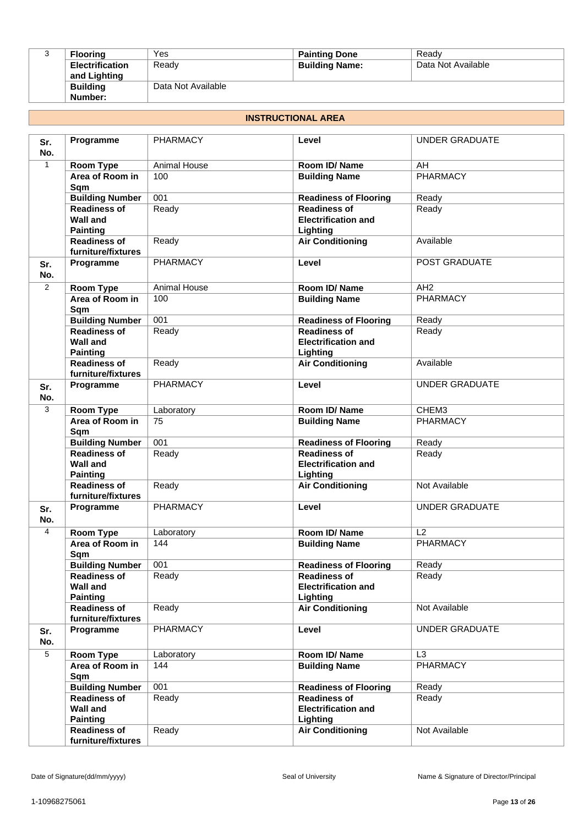| ت | <b>Flooring</b>        | Yes                | <b>Painting Done</b>  | Ready              |
|---|------------------------|--------------------|-----------------------|--------------------|
|   | <b>Electrification</b> | Ready              | <b>Building Name:</b> | Data Not Available |
|   | and Lighting           |                    |                       |                    |
|   | <b>Building</b>        | Data Not Available |                       |                    |
|   | Number:                |                    |                       |                    |

#### **INSTRUCTIONAL AREA**

| Sr.<br>No.   | Programme                                                                        | <b>PHARMACY</b>     | Level                                                                                    | <b>UNDER GRADUATE</b> |
|--------------|----------------------------------------------------------------------------------|---------------------|------------------------------------------------------------------------------------------|-----------------------|
| $\mathbf{1}$ | Room Type                                                                        | <b>Animal House</b> | Room ID/Name                                                                             | AH                    |
|              | Area of Room in<br>Sqm                                                           | 100                 | <b>Building Name</b>                                                                     | <b>PHARMACY</b>       |
|              | <b>Building Number</b>                                                           | 001                 | <b>Readiness of Flooring</b>                                                             | Ready                 |
|              | <b>Readiness of</b><br><b>Wall and</b><br><b>Painting</b>                        | Ready               | <b>Readiness of</b><br><b>Electrification and</b><br>Lighting                            | Ready                 |
|              | <b>Readiness of</b><br>furniture/fixtures                                        | Ready               | <b>Air Conditioning</b>                                                                  | Available             |
| Sr.<br>No.   | Programme                                                                        | <b>PHARMACY</b>     | Level                                                                                    | POST GRADUATE         |
| 2            | <b>Room Type</b>                                                                 | <b>Animal House</b> | Room ID/Name                                                                             | AH2                   |
|              | Area of Room in<br>Sqm                                                           | 100                 | <b>Building Name</b>                                                                     | <b>PHARMACY</b>       |
|              | <b>Building Number</b>                                                           | 001                 | <b>Readiness of Flooring</b>                                                             | Ready                 |
|              | <b>Readiness of</b><br><b>Wall and</b><br><b>Painting</b>                        | Ready               | <b>Readiness of</b><br><b>Electrification and</b><br>Lighting                            | Ready                 |
|              | <b>Readiness of</b><br>furniture/fixtures                                        | Ready               | <b>Air Conditioning</b>                                                                  | Available             |
| Sr.<br>No.   | Programme                                                                        | <b>PHARMACY</b>     | Level                                                                                    | <b>UNDER GRADUATE</b> |
| 3            | Room Type                                                                        | Laboratory          | Room ID/Name                                                                             | CHEM3                 |
|              | Area of Room in<br>Sqm                                                           | 75                  | <b>Building Name</b>                                                                     | <b>PHARMACY</b>       |
|              | <b>Building Number</b>                                                           | 001                 | <b>Readiness of Flooring</b>                                                             | Ready                 |
|              | <b>Readiness of</b><br><b>Wall and</b><br><b>Painting</b>                        | Ready               | <b>Readiness of</b><br><b>Electrification and</b><br>Lighting                            | Ready                 |
|              | <b>Readiness of</b><br>furniture/fixtures                                        | Ready               | <b>Air Conditioning</b>                                                                  | Not Available         |
| Sr.<br>No.   | Programme                                                                        | <b>PHARMACY</b>     | Level                                                                                    | <b>UNDER GRADUATE</b> |
| 4            | Room Type                                                                        | Laboratory          | Room ID/Name                                                                             | L2                    |
|              | Area of Room in<br>Sqm                                                           | 144                 | <b>Building Name</b>                                                                     | <b>PHARMACY</b>       |
|              | <b>Building Number</b>                                                           | 001                 | <b>Readiness of Flooring</b>                                                             | Ready                 |
|              | <b>Readiness of</b><br><b>Wall and</b><br><b>Painting</b>                        | Ready               | <b>Readiness of</b><br><b>Electrification and</b><br>Lighting                            | Ready                 |
|              | <b>Readiness of</b><br>furniture/fixtures                                        | Ready               | <b>Air Conditioning</b>                                                                  | Not Available         |
| Sr.<br>No.   | Programme                                                                        | PHARMACY            | Level                                                                                    | UNDER GRADUATE        |
| 5            | Room Type                                                                        | Laboratory          | Room ID/Name                                                                             | L3                    |
|              | Area of Room in<br>Sqm                                                           | 144                 | <b>Building Name</b>                                                                     | PHARMACY              |
|              |                                                                                  |                     | <b>Readiness of Flooring</b>                                                             | Ready                 |
|              | <b>Building Number</b>                                                           | 001                 |                                                                                          |                       |
|              | <b>Readiness of</b><br><b>Wall and</b><br><b>Painting</b><br><b>Readiness of</b> | Ready               | <b>Readiness of</b><br><b>Electrification and</b><br>Lighting<br><b>Air Conditioning</b> | Ready                 |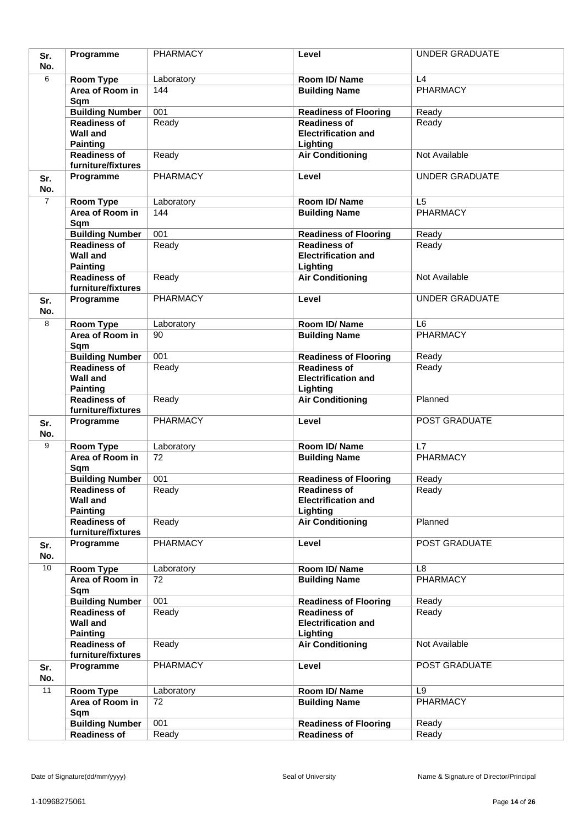| Sr.            | Programme                                 | <b>PHARMACY</b>  | Level                                               | <b>UNDER GRADUATE</b>             |
|----------------|-------------------------------------------|------------------|-----------------------------------------------------|-----------------------------------|
| No.            |                                           |                  |                                                     |                                   |
| 6              | Room Type                                 | Laboratory       | Room ID/Name                                        | L4                                |
|                | Area of Room in                           | 144              | <b>Building Name</b>                                | <b>PHARMACY</b>                   |
|                | Sqm                                       |                  |                                                     |                                   |
|                | <b>Building Number</b>                    | 001              | <b>Readiness of Flooring</b>                        | Ready                             |
|                | <b>Readiness of</b><br><b>Wall and</b>    | Ready            | <b>Readiness of</b><br><b>Electrification and</b>   | Ready                             |
|                | <b>Painting</b>                           |                  | Lighting                                            |                                   |
|                | <b>Readiness of</b>                       | Ready            | <b>Air Conditioning</b>                             | Not Available                     |
|                | furniture/fixtures                        |                  |                                                     |                                   |
| Sr.            | Programme                                 | <b>PHARMACY</b>  | Level                                               | <b>UNDER GRADUATE</b>             |
| No.            |                                           |                  |                                                     |                                   |
| $\overline{7}$ | Room Type                                 | Laboratory       | Room ID/Name                                        | L <sub>5</sub>                    |
|                | Area of Room in                           | 144              | <b>Building Name</b>                                | <b>PHARMACY</b>                   |
|                | Sqm                                       | 001              |                                                     |                                   |
|                | <b>Building Number</b><br>Readiness of    | Ready            | <b>Readiness of Flooring</b><br><b>Readiness of</b> | Ready<br>Ready                    |
|                | <b>Wall and</b>                           |                  | <b>Electrification and</b>                          |                                   |
|                | <b>Painting</b>                           |                  | Lighting                                            |                                   |
|                | <b>Readiness of</b>                       | Ready            | <b>Air Conditioning</b>                             | Not Available                     |
|                | furniture/fixtures                        |                  |                                                     |                                   |
| Sr.            | Programme                                 | <b>PHARMACY</b>  | Level                                               | <b>UNDER GRADUATE</b>             |
| No.            |                                           |                  |                                                     |                                   |
| 8              | Room Type<br>Area of Room in              | Laboratory<br>90 | Room ID/Name                                        | L <sub>6</sub><br><b>PHARMACY</b> |
|                | Sqm                                       |                  | <b>Building Name</b>                                |                                   |
|                | <b>Building Number</b>                    | 001              | <b>Readiness of Flooring</b>                        | Ready                             |
|                | <b>Readiness of</b>                       | Ready            | <b>Readiness of</b>                                 | Ready                             |
|                | <b>Wall and</b>                           |                  | <b>Electrification and</b>                          |                                   |
|                | <b>Painting</b>                           |                  | Lighting                                            |                                   |
|                | <b>Readiness of</b><br>furniture/fixtures | Ready            | <b>Air Conditioning</b>                             | Planned                           |
| Sr.            | Programme                                 | <b>PHARMACY</b>  | Level                                               | POST GRADUATE                     |
| No.            |                                           |                  |                                                     |                                   |
| 9              | <b>Room Type</b>                          | Laboratory       | Room ID/Name                                        | L7                                |
|                | Area of Room in                           | 72               | <b>Building Name</b>                                | <b>PHARMACY</b>                   |
|                | Sqm                                       |                  |                                                     |                                   |
|                | <b>Building Number</b>                    | 001              | <b>Readiness of Flooring</b>                        | Ready                             |
|                | <b>Readiness of</b>                       | Ready            | Readiness of                                        | Ready                             |
|                | <b>Wall and</b><br><b>Painting</b>        |                  | <b>Electrification and</b><br>Lighting              |                                   |
|                | Readiness of                              | Ready            | <b>Air Conditioning</b>                             | Planned                           |
|                | furniture/fixtures                        |                  |                                                     |                                   |
| Sr.            | Programme                                 | <b>PHARMACY</b>  | Level                                               | POST GRADUATE                     |
| No.            |                                           |                  |                                                     |                                   |
| 10             | Room Type                                 | Laboratory       | Room ID/Name                                        | L8                                |
|                | Area of Room in                           | 72               | <b>Building Name</b>                                | <b>PHARMACY</b>                   |
|                | Sqm<br><b>Building Number</b>             | 001              | <b>Readiness of Flooring</b>                        | Ready                             |
|                | <b>Readiness of</b>                       | Ready            | <b>Readiness of</b>                                 | Ready                             |
|                | <b>Wall and</b>                           |                  | <b>Electrification and</b>                          |                                   |
|                | <b>Painting</b>                           |                  | Lighting                                            |                                   |
|                | <b>Readiness of</b>                       | Ready            | <b>Air Conditioning</b>                             | Not Available                     |
|                | furniture/fixtures                        |                  |                                                     |                                   |
| Sr.<br>No.     | Programme                                 | PHARMACY         | Level                                               | POST GRADUATE                     |
| 11             | <b>Room Type</b>                          | Laboratory       | Room ID/Name                                        | L <sub>9</sub>                    |
|                | Area of Room in                           | 72               | <b>Building Name</b>                                | PHARMACY                          |
|                | Sqm                                       |                  |                                                     |                                   |
|                |                                           |                  |                                                     |                                   |
|                | <b>Building Number</b>                    | 001              | <b>Readiness of Flooring</b>                        | Ready                             |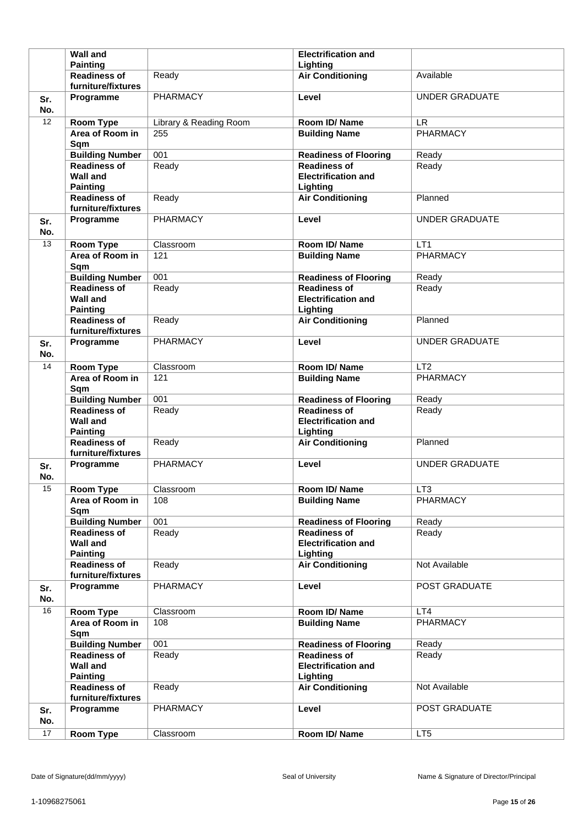|            | <b>Wall and</b>                                              |                        | <b>Electrification and</b>                                    |                       |
|------------|--------------------------------------------------------------|------------------------|---------------------------------------------------------------|-----------------------|
|            | <b>Painting</b>                                              |                        | Lighting                                                      |                       |
|            | <b>Readiness of</b><br>furniture/fixtures                    | Ready                  | <b>Air Conditioning</b>                                       | Available             |
| Sr.<br>No. | Programme                                                    | <b>PHARMACY</b>        | Level                                                         | <b>UNDER GRADUATE</b> |
| 12         | <b>Room Type</b>                                             | Library & Reading Room | Room ID/Name                                                  | <b>LR</b>             |
|            | Area of Room in<br>Sqm                                       | 255                    | <b>Building Name</b>                                          | <b>PHARMACY</b>       |
|            | <b>Building Number</b>                                       | 001                    | <b>Readiness of Flooring</b>                                  | Ready                 |
|            | <b>Readiness of</b><br><b>Wall and</b><br><b>Painting</b>    | Ready                  | <b>Readiness of</b><br><b>Electrification and</b><br>Lighting | Ready                 |
|            | <b>Readiness of</b><br>furniture/fixtures                    | Ready                  | <b>Air Conditioning</b>                                       | Planned               |
| Sr.<br>No. | Programme                                                    | PHARMACY               | Level                                                         | <b>UNDER GRADUATE</b> |
| 13         | <b>Room Type</b>                                             | Classroom              | Room ID/Name                                                  | LT <sub>1</sub>       |
|            | Area of Room in<br>Sqm                                       | 121                    | <b>Building Name</b>                                          | <b>PHARMACY</b>       |
|            | <b>Building Number</b>                                       | 001                    | <b>Readiness of Flooring</b>                                  | Ready                 |
|            | <b>Readiness of</b><br><b>Wall and</b><br><b>Painting</b>    | Ready                  | <b>Readiness of</b><br><b>Electrification and</b><br>Lighting | Ready                 |
|            | <b>Readiness of</b><br>furniture/fixtures                    | Ready                  | <b>Air Conditioning</b>                                       | Planned               |
| Sr.<br>No. | Programme                                                    | PHARMACY               | Level                                                         | <b>UNDER GRADUATE</b> |
| 14         | Room Type                                                    | Classroom              | Room ID/Name                                                  | LT2                   |
|            | Area of Room in<br>Sqm                                       | 121                    | <b>Building Name</b>                                          | <b>PHARMACY</b>       |
|            |                                                              |                        |                                                               |                       |
|            | <b>Building Number</b>                                       | 001                    | <b>Readiness of Flooring</b>                                  | Ready                 |
|            | <b>Readiness of</b><br><b>Wall and</b>                       | Ready                  | <b>Readiness of</b><br><b>Electrification and</b>             | Ready                 |
|            | <b>Painting</b><br><b>Readiness of</b><br>furniture/fixtures | Ready                  | Lighting<br><b>Air Conditioning</b>                           | Planned               |
| Sr.<br>No. | Programme                                                    | PHARMACY               | Level                                                         | <b>UNDER GRADUATE</b> |
| 15         | <b>Room Type</b>                                             | Classroom              | Room ID/Name                                                  | LT <sub>3</sub>       |
|            | Area of Room in<br>Sqm                                       | 108                    | <b>Building Name</b>                                          | PHARMACY              |
|            | <b>Building Number</b>                                       | 001                    | <b>Readiness of Flooring</b>                                  | Ready                 |
|            | <b>Readiness of</b><br><b>Wall and</b><br><b>Painting</b>    | Ready                  | <b>Readiness of</b><br><b>Electrification and</b><br>Lighting | Ready                 |
|            | <b>Readiness of</b><br>furniture/fixtures                    | Ready                  | <b>Air Conditioning</b>                                       | Not Available         |
| Sr.<br>No. | Programme                                                    | <b>PHARMACY</b>        | Level                                                         | POST GRADUATE         |
| 16         | Room Type                                                    | Classroom              | Room ID/Name                                                  | LT4                   |
|            | Area of Room in<br>Sqm                                       | 108                    | <b>Building Name</b>                                          | PHARMACY              |
|            | <b>Building Number</b>                                       | 001                    | <b>Readiness of Flooring</b>                                  | Ready                 |
|            | <b>Readiness of</b><br><b>Wall and</b>                       | Ready                  | <b>Readiness of</b><br><b>Electrification and</b>             | Ready                 |
|            | <b>Painting</b><br><b>Readiness of</b>                       | Ready                  | Lighting<br><b>Air Conditioning</b>                           | Not Available         |
| Sr.<br>No. | furniture/fixtures<br>Programme                              | <b>PHARMACY</b>        | Level                                                         | POST GRADUATE         |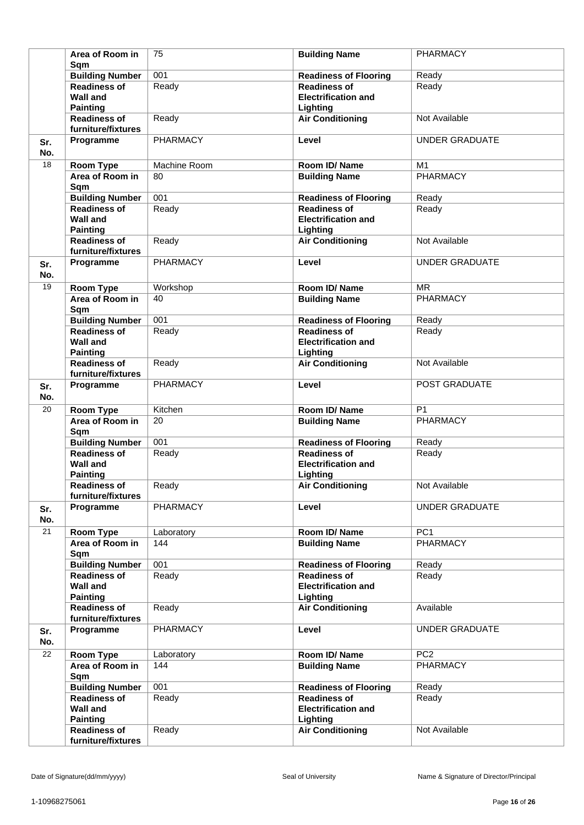|            | Area of Room in<br>Sqm                 | 75              | <b>Building Name</b>         | PHARMACY              |
|------------|----------------------------------------|-----------------|------------------------------|-----------------------|
|            | <b>Building Number</b>                 | 001             | <b>Readiness of Flooring</b> | Ready                 |
|            | <b>Readiness of</b>                    | Ready           | <b>Readiness of</b>          | Ready                 |
|            | <b>Wall and</b>                        |                 | <b>Electrification and</b>   |                       |
|            | <b>Painting</b>                        |                 | Lighting                     |                       |
|            | <b>Readiness of</b>                    | Ready           | <b>Air Conditioning</b>      | Not Available         |
|            | furniture/fixtures                     |                 |                              |                       |
| Sr.<br>No. | Programme                              | <b>PHARMACY</b> | Level                        | <b>UNDER GRADUATE</b> |
| 18         |                                        | Machine Room    |                              | M1                    |
|            | Room Type                              |                 | Room ID/Name                 | <b>PHARMACY</b>       |
|            | Area of Room in                        | 80              | <b>Building Name</b>         |                       |
|            | Sqm                                    |                 |                              |                       |
|            | <b>Building Number</b>                 | 001             | <b>Readiness of Flooring</b> | Ready                 |
|            | <b>Readiness of</b><br><b>Wall and</b> | Ready           | <b>Readiness of</b>          | Ready                 |
|            |                                        |                 | <b>Electrification and</b>   |                       |
|            | <b>Painting</b>                        |                 | Lighting                     |                       |
|            | <b>Readiness of</b>                    | Ready           | <b>Air Conditioning</b>      | Not Available         |
|            | furniture/fixtures                     |                 |                              |                       |
| Sr.<br>No. | Programme                              | <b>PHARMACY</b> | Level                        | <b>UNDER GRADUATE</b> |
| 19         | Room Type                              | Workshop        | Room ID/Name                 | <b>MR</b>             |
|            | Area of Room in                        | 40              | <b>Building Name</b>         | <b>PHARMACY</b>       |
|            | Sqm                                    |                 |                              |                       |
|            | <b>Building Number</b>                 | 001             | <b>Readiness of Flooring</b> | Ready                 |
|            | <b>Readiness of</b>                    | Ready           | <b>Readiness of</b>          | Ready                 |
|            | <b>Wall and</b>                        |                 | <b>Electrification and</b>   |                       |
|            | <b>Painting</b>                        |                 | Lighting                     |                       |
|            | <b>Readiness of</b>                    | Ready           | <b>Air Conditioning</b>      | Not Available         |
|            | furniture/fixtures                     |                 |                              |                       |
| Sr.<br>No. | Programme                              | PHARMACY        | Level                        | POST GRADUATE         |
| 20         | <b>Room Type</b>                       | Kitchen         | Room ID/Name                 | P <sub>1</sub>        |
|            | Area of Room in                        | 20              | <b>Building Name</b>         | <b>PHARMACY</b>       |
|            | Sqm                                    |                 |                              |                       |
|            | <b>Building Number</b>                 | 001             | <b>Readiness of Flooring</b> | Ready                 |
|            | <b>Readiness of</b>                    | Ready           | <b>Readiness of</b>          | Ready                 |
|            | <b>Wall and</b>                        |                 | <b>Electrification and</b>   |                       |
|            | <b>Painting</b>                        |                 | Lighting                     |                       |
|            | <b>Readiness of</b>                    | Ready           | <b>Air Conditioning</b>      | Not Available         |
|            | furniture/fixtures                     |                 |                              |                       |
| Sr.        | Programme                              | <b>PHARMACY</b> | Level                        | UNDER GRADUATE        |
| No.        |                                        |                 |                              |                       |
| 21         | <b>Room Type</b>                       | Laboratory      | Room ID/Name                 | PC1                   |
|            | Area of Room in                        | 144             | <b>Building Name</b>         | <b>PHARMACY</b>       |
|            | Sqm                                    |                 |                              |                       |
|            | <b>Building Number</b>                 | 001             | <b>Readiness of Flooring</b> | Ready                 |
|            | <b>Readiness of</b>                    | Ready           | <b>Readiness of</b>          | Ready                 |
|            | <b>Wall and</b>                        |                 | <b>Electrification and</b>   |                       |
|            | <b>Painting</b>                        |                 | Lighting                     |                       |
|            | <b>Readiness of</b>                    | Ready           | <b>Air Conditioning</b>      | Available             |
|            | furniture/fixtures                     |                 |                              |                       |
| Sr.<br>No. | Programme                              | <b>PHARMACY</b> | Level                        | UNDER GRADUATE        |
| 22         | <b>Room Type</b>                       | Laboratory      | Room ID/Name                 | PC <sub>2</sub>       |
|            | Area of Room in                        | 144             | <b>Building Name</b>         | PHARMACY              |
|            | Sqm                                    |                 |                              |                       |
|            | <b>Building Number</b>                 | 001             | <b>Readiness of Flooring</b> | Ready                 |
|            | <b>Readiness of</b>                    | Ready           | <b>Readiness of</b>          | Ready                 |
|            | <b>Wall and</b>                        |                 | <b>Electrification and</b>   |                       |
|            | <b>Painting</b>                        |                 | Lighting                     |                       |
|            | <b>Readiness of</b>                    | Ready           | <b>Air Conditioning</b>      | Not Available         |
|            | furniture/fixtures                     |                 |                              |                       |
|            |                                        |                 |                              |                       |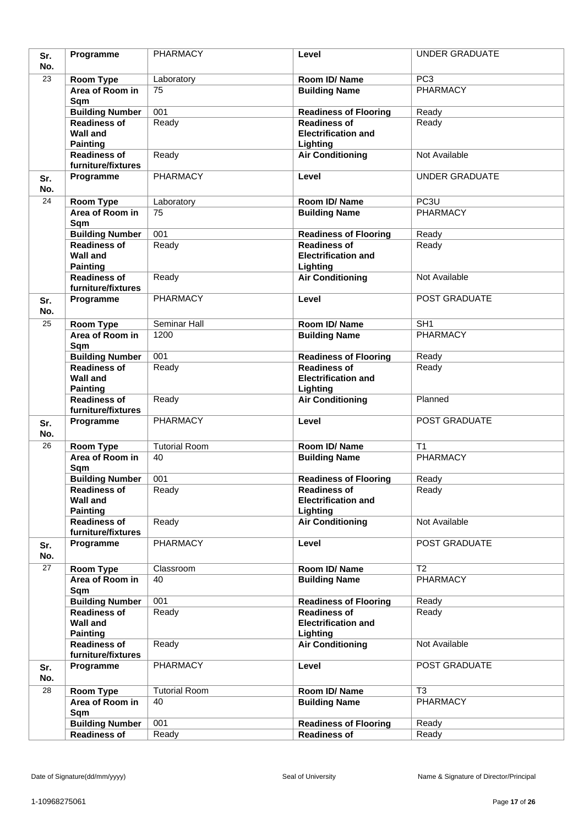| Sr.        | Programme                                                 | PHARMACY             | Level                                                         | <b>UNDER GRADUATE</b> |
|------------|-----------------------------------------------------------|----------------------|---------------------------------------------------------------|-----------------------|
| No.        |                                                           |                      |                                                               |                       |
| 23         | Room Type                                                 | Laboratory           | Room ID/Name                                                  | PC <sub>3</sub>       |
|            | Area of Room in<br>Sqm                                    | 75                   | <b>Building Name</b>                                          | <b>PHARMACY</b>       |
|            | <b>Building Number</b>                                    | 001                  | <b>Readiness of Flooring</b>                                  | Ready                 |
|            | <b>Readiness of</b><br><b>Wall and</b><br><b>Painting</b> | Ready                | <b>Readiness of</b><br><b>Electrification and</b><br>Lighting | Ready                 |
|            | <b>Readiness of</b><br>furniture/fixtures                 | Ready                | <b>Air Conditioning</b>                                       | Not Available         |
| Sr.<br>No. | Programme                                                 | <b>PHARMACY</b>      | Level                                                         | <b>UNDER GRADUATE</b> |
| 24         | <b>Room Type</b>                                          | Laboratory           | Room ID/Name                                                  | PC <sub>3U</sub>      |
|            | Area of Room in<br>Sqm                                    | 75                   | <b>Building Name</b>                                          | <b>PHARMACY</b>       |
|            | <b>Building Number</b>                                    | 001                  | <b>Readiness of Flooring</b>                                  | Ready                 |
|            | <b>Readiness of</b><br><b>Wall and</b><br><b>Painting</b> | Ready                | <b>Readiness of</b><br><b>Electrification and</b><br>Lighting | Ready                 |
|            | <b>Readiness of</b><br>furniture/fixtures                 | Ready                | <b>Air Conditioning</b>                                       | Not Available         |
| Sr.<br>No. | Programme                                                 | <b>PHARMACY</b>      | Level                                                         | POST GRADUATE         |
| 25         | <b>Room Type</b>                                          | Seminar Hall         | Room ID/Name                                                  | SH <sub>1</sub>       |
|            | Area of Room in<br>Sqm                                    | 1200                 | <b>Building Name</b>                                          | <b>PHARMACY</b>       |
|            | <b>Building Number</b>                                    | 001                  | <b>Readiness of Flooring</b>                                  | Ready                 |
|            | <b>Readiness of</b><br><b>Wall and</b><br><b>Painting</b> | Ready                | <b>Readiness of</b><br><b>Electrification and</b><br>Lighting | Ready                 |
|            | <b>Readiness of</b><br>furniture/fixtures                 | Ready                | <b>Air Conditioning</b>                                       | Planned               |
| Sr.<br>No. | Programme                                                 | <b>PHARMACY</b>      | Level                                                         | POST GRADUATE         |
| 26         | Room Type                                                 | <b>Tutorial Room</b> | Room ID/Name                                                  | T1                    |
|            | Area of Room in<br>Sqm                                    | 40                   | <b>Building Name</b>                                          | <b>PHARMACY</b>       |
|            | <b>Building Number</b>                                    | 001                  | <b>Readiness of Flooring</b>                                  | Ready                 |
|            | <b>Readiness of</b><br><b>Wall and</b><br><b>Painting</b> | Ready                | <b>Readiness of</b><br><b>Electrification and</b><br>Lighting | Ready                 |
|            | <b>Readiness of</b><br>furniture/fixtures                 | Ready                | <b>Air Conditioning</b>                                       | Not Available         |
| Sr.<br>No. | Programme                                                 | <b>PHARMACY</b>      | Level                                                         | POST GRADUATE         |
| 27         | Room Type                                                 | Classroom            | Room ID/Name                                                  | $\overline{12}$       |
|            | Area of Room in<br>Sqm                                    | 40                   | <b>Building Name</b>                                          | PHARMACY              |
|            | <b>Building Number</b>                                    | 001                  | <b>Readiness of Flooring</b>                                  | Ready                 |
|            | <b>Readiness of</b><br><b>Wall and</b><br><b>Painting</b> | Ready                | <b>Readiness of</b><br><b>Electrification and</b><br>Lighting | Ready                 |
|            | <b>Readiness of</b><br>furniture/fixtures                 | Ready                | <b>Air Conditioning</b>                                       | Not Available         |
| Sr.<br>No. | Programme                                                 | <b>PHARMACY</b>      | Level                                                         | POST GRADUATE         |
| 28         | Room Type                                                 | <b>Tutorial Room</b> | Room ID/Name                                                  | T <sub>3</sub>        |
|            | Area of Room in<br>Sqm                                    | 40                   | <b>Building Name</b>                                          | PHARMACY              |
|            | <b>Building Number</b><br><b>Readiness of</b>             | 001<br>Ready         | <b>Readiness of Flooring</b><br><b>Readiness of</b>           | Ready<br>Ready        |
|            |                                                           |                      |                                                               |                       |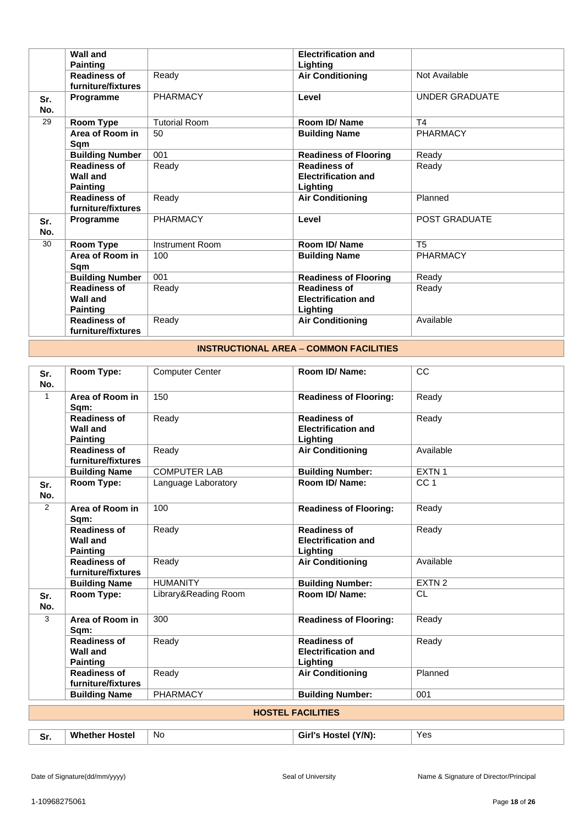|            | <b>Wall and</b>                           |                        | <b>Electrification and</b>   |                       |
|------------|-------------------------------------------|------------------------|------------------------------|-----------------------|
|            | <b>Painting</b>                           |                        | Lighting                     |                       |
|            | <b>Readiness of</b><br>furniture/fixtures | Ready                  | <b>Air Conditioning</b>      | Not Available         |
| Sr.<br>No. | Programme                                 | <b>PHARMACY</b>        | Level                        | <b>UNDER GRADUATE</b> |
| 29         | Room Type                                 | <b>Tutorial Room</b>   | Room ID/Name                 | T <sub>4</sub>        |
|            | Area of Room in<br>Sqm                    | 50                     | <b>Building Name</b>         | <b>PHARMACY</b>       |
|            | <b>Building Number</b>                    | 001                    | <b>Readiness of Flooring</b> | Ready                 |
|            | <b>Readiness of</b>                       | Ready                  | <b>Readiness of</b>          | Ready                 |
|            | Wall and                                  |                        | <b>Electrification and</b>   |                       |
|            | <b>Painting</b>                           |                        | Lighting                     |                       |
|            | <b>Readiness of</b><br>furniture/fixtures | Ready                  | <b>Air Conditioning</b>      | Planned               |
| Sr.<br>No. | Programme                                 | <b>PHARMACY</b>        | Level                        | POST GRADUATE         |
| 30         | Room Type                                 | <b>Instrument Room</b> | Room ID/Name                 | T <sub>5</sub>        |
|            | Area of Room in<br>Sqm                    | 100                    | <b>Building Name</b>         | PHARMACY              |
|            | <b>Building Number</b>                    | 001                    | <b>Readiness of Flooring</b> | Ready                 |
|            | <b>Readiness of</b>                       | Ready                  | <b>Readiness of</b>          | Ready                 |
|            | <b>Wall and</b>                           |                        | <b>Electrification and</b>   |                       |
|            | <b>Painting</b>                           |                        | Lighting                     |                       |
|            | <b>Readiness of</b><br>furniture/fixtures | Ready                  | <b>Air Conditioning</b>      | Available             |

## **INSTRUCTIONAL AREA** – **COMMON FACILITIES**

| Sr.<br>No.     | Room Type:                                                | <b>Computer Center</b> | Room ID/Name:                                                 | CC                |
|----------------|-----------------------------------------------------------|------------------------|---------------------------------------------------------------|-------------------|
| $\mathbf{1}$   | Area of Room in<br>Sqm:                                   | 150                    | <b>Readiness of Flooring:</b>                                 | Ready             |
|                | <b>Readiness of</b><br><b>Wall and</b><br><b>Painting</b> | Ready                  | <b>Readiness of</b><br><b>Electrification and</b><br>Lighting | Ready             |
|                | <b>Readiness of</b><br>furniture/fixtures                 | Ready                  | <b>Air Conditioning</b>                                       | Available         |
|                | <b>Building Name</b>                                      | <b>COMPUTER LAB</b>    | <b>Building Number:</b>                                       | EXTN 1            |
| Sr.<br>No.     | <b>Room Type:</b>                                         | Language Laboratory    | Room ID/Name:                                                 | CC <sub>1</sub>   |
| $\overline{2}$ | Area of Room in<br>Sqm:                                   | 100                    | <b>Readiness of Flooring:</b>                                 | Ready             |
|                | <b>Readiness of</b><br><b>Wall and</b><br><b>Painting</b> | Ready                  | <b>Readiness of</b><br><b>Electrification and</b><br>Lighting | Ready             |
|                | <b>Readiness of</b><br>furniture/fixtures                 | Ready                  | <b>Air Conditioning</b>                                       | Available         |
|                | <b>Building Name</b>                                      | <b>HUMANITY</b>        | <b>Building Number:</b>                                       | EXTN <sub>2</sub> |
| Sr.<br>No.     | <b>Room Type:</b>                                         | Library&Reading Room   | Room ID/Name:                                                 | <b>CL</b>         |
| 3              | Area of Room in<br>Sam:                                   | 300                    | <b>Readiness of Flooring:</b>                                 | Ready             |
|                | <b>Readiness of</b><br><b>Wall and</b><br><b>Painting</b> | Ready                  | <b>Readiness of</b><br><b>Electrification and</b><br>Lighting | Ready             |
|                | <b>Readiness of</b><br>furniture/fixtures                 | Ready                  | <b>Air Conditioning</b>                                       | Planned           |
|                | <b>Building Name</b>                                      | <b>PHARMACY</b>        | <b>Building Number:</b>                                       | 001               |
|                |                                                           |                        | <b>HOSTEL FACILITIES</b>                                      |                   |
| Sr.            | <b>Whether Hostel</b>                                     | <b>No</b>              | Girl's Hostel (Y/N):                                          | Yes               |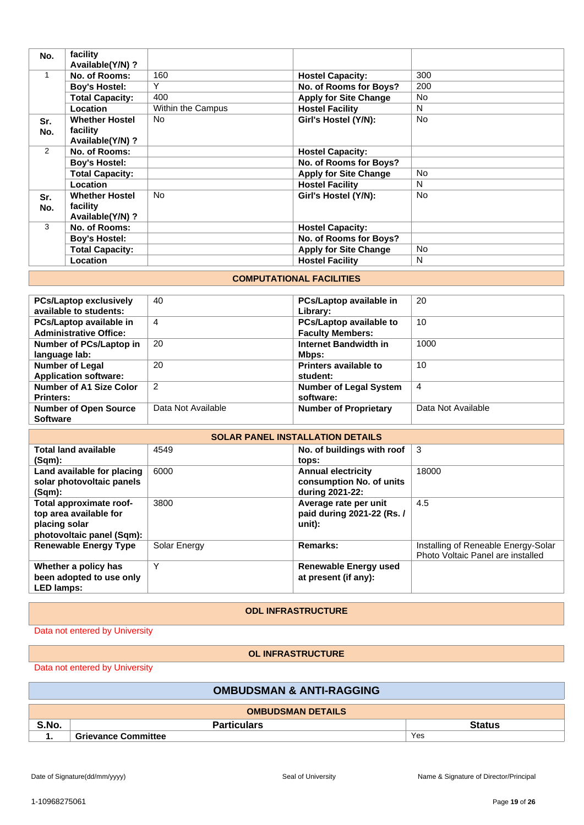| No.           | facility<br>Available(Y/N)?                           |                   |                              |           |
|---------------|-------------------------------------------------------|-------------------|------------------------------|-----------|
| 1             | No. of Rooms:                                         | 160               | <b>Hostel Capacity:</b>      | 300       |
|               | <b>Boy's Hostel:</b>                                  | Υ                 | No. of Rooms for Boys?       | 200       |
|               | <b>Total Capacity:</b>                                | 400               | <b>Apply for Site Change</b> | <b>No</b> |
|               | Location                                              | Within the Campus | <b>Hostel Facility</b>       | N         |
| Sr.<br>No.    | <b>Whether Hostel</b><br>facility<br>Available(Y/N)?  | N <sub>o</sub>    | Girl's Hostel (Y/N):         | <b>No</b> |
| 2             | No. of Rooms:                                         |                   | <b>Hostel Capacity:</b>      |           |
|               | <b>Boy's Hostel:</b>                                  |                   | No. of Rooms for Boys?       |           |
|               | <b>Total Capacity:</b>                                |                   | <b>Apply for Site Change</b> | <b>No</b> |
|               | Location                                              |                   | <b>Hostel Facility</b>       | N         |
| Sr.<br>No.    | <b>Whether Hostel</b><br>facility<br>Available(Y/N) ? | N <sub>o</sub>    | Girl's Hostel (Y/N):         | <b>No</b> |
| $\mathcal{R}$ | No. of Rooms:                                         |                   | <b>Hostel Capacity:</b>      |           |
|               | <b>Boy's Hostel:</b>                                  |                   | No. of Rooms for Boys?       |           |
|               | <b>Total Capacity:</b>                                |                   | <b>Apply for Site Change</b> | <b>No</b> |
|               | Location                                              |                   | <b>Hostel Facility</b>       | N         |

## **COMPUTATIONAL FACILITIES**

| <b>PCs/Laptop exclusively</b> | 40                 | PCs/Laptop available in       | 20                 |
|-------------------------------|--------------------|-------------------------------|--------------------|
| available to students:        |                    | Library:                      |                    |
| PCs/Laptop available in       | 4                  | PCs/Laptop available to       | 10                 |
| <b>Administrative Office:</b> |                    | <b>Faculty Members:</b>       |                    |
| Number of PCs/Laptop in       | 20                 | Internet Bandwidth in         | 1000               |
| language lab:                 |                    | Mbps:                         |                    |
| <b>Number of Legal</b>        | 20                 | Printers available to         | 10                 |
| <b>Application software:</b>  |                    | student:                      |                    |
| Number of A1 Size Color       | $\overline{2}$     | <b>Number of Legal System</b> | $\overline{4}$     |
| <b>Printers:</b>              |                    | software:                     |                    |
| <b>Number of Open Source</b>  | Data Not Available | <b>Number of Proprietary</b>  | Data Not Available |
| <b>Software</b>               |                    |                               |                    |

| <b>SOLAR PANEL INSTALLATION DETAILS</b>                                                         |              |                                                                          |                                                                          |
|-------------------------------------------------------------------------------------------------|--------------|--------------------------------------------------------------------------|--------------------------------------------------------------------------|
| <b>Total land available</b><br>(Sqm):                                                           | 4549         | No. of buildings with roof<br>tops:                                      | -3                                                                       |
| Land available for placing<br>solar photovoltaic panels<br>(Sqm):                               | 6000         | <b>Annual electricity</b><br>consumption No. of units<br>during 2021-22: | 18000                                                                    |
| Total approximate roof-<br>top area available for<br>placing solar<br>photovoltaic panel (Sqm): | 3800         | Average rate per unit<br>paid during 2021-22 (Rs. /<br>unit):            | 4.5                                                                      |
| <b>Renewable Energy Type</b>                                                                    | Solar Energy | Remarks:                                                                 | Installing of Reneable Energy-Solar<br>Photo Voltaic Panel are installed |
| Whether a policy has<br>been adopted to use only<br><b>LED lamps:</b>                           | Υ            | <b>Renewable Energy used</b><br>at present (if any):                     |                                                                          |

#### **ODL INFRASTRUCTURE**

Data not entered by University

## **OL INFRASTRUCTURE**

Data not entered by University

## **OMBUDSMAN & ANTI-RAGGING**

| <b>OMBUDSMAN DETAILS</b> |                              |     |  |
|--------------------------|------------------------------|-----|--|
| S.No.                    | <b>Status</b><br>Particulars |     |  |
| . .                      | <b>Grievance Committee</b>   | Yes |  |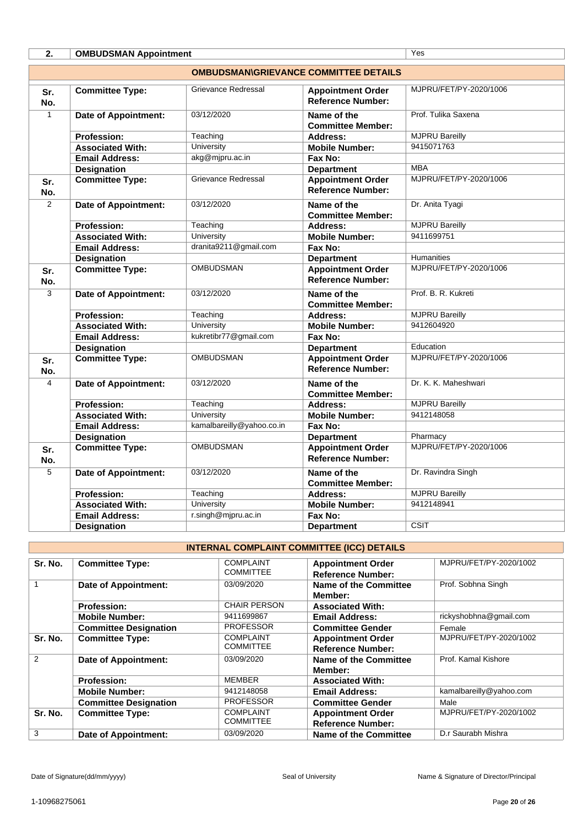| 2.             | <b>OMBUDSMAN Appointment</b>                 | Yes                        |                                                      |                        |  |  |  |  |
|----------------|----------------------------------------------|----------------------------|------------------------------------------------------|------------------------|--|--|--|--|
|                | <b>OMBUDSMAN\GRIEVANCE COMMITTEE DETAILS</b> |                            |                                                      |                        |  |  |  |  |
| Sr.<br>No.     | <b>Committee Type:</b>                       | <b>Grievance Redressal</b> | <b>Appointment Order</b><br><b>Reference Number:</b> | MJPRU/FET/PY-2020/1006 |  |  |  |  |
| $\mathbf{1}$   | <b>Date of Appointment:</b>                  | 03/12/2020                 | Name of the<br><b>Committee Member:</b>              | Prof. Tulika Saxena    |  |  |  |  |
|                | <b>Profession:</b>                           | Teaching                   | Address:                                             | <b>MJPRU Bareilly</b>  |  |  |  |  |
|                | <b>Associated With:</b>                      | University                 | <b>Mobile Number:</b>                                | 9415071763             |  |  |  |  |
|                | <b>Email Address:</b>                        | akg@mjpru.ac.in            | Fax No:                                              |                        |  |  |  |  |
|                | <b>Designation</b>                           |                            | <b>Department</b>                                    | <b>MBA</b>             |  |  |  |  |
| Sr.<br>No.     | <b>Committee Type:</b>                       | Grievance Redressal        | <b>Appointment Order</b><br><b>Reference Number:</b> | MJPRU/FET/PY-2020/1006 |  |  |  |  |
| $\overline{2}$ | <b>Date of Appointment:</b>                  | 03/12/2020                 | Name of the<br><b>Committee Member:</b>              | Dr. Anita Tyagi        |  |  |  |  |
|                | Profession:                                  | Teaching                   | Address:                                             | <b>MJPRU Bareilly</b>  |  |  |  |  |
|                | <b>Associated With:</b>                      | <b>University</b>          | <b>Mobile Number:</b>                                | 9411699751             |  |  |  |  |
|                | <b>Email Address:</b>                        | dranita9211@gmail.com      | Fax No:                                              |                        |  |  |  |  |
|                | <b>Designation</b>                           |                            | <b>Department</b>                                    | <b>Humanities</b>      |  |  |  |  |
| Sr.<br>No.     | <b>Committee Type:</b>                       | <b>OMBUDSMAN</b>           | <b>Appointment Order</b><br><b>Reference Number:</b> | MJPRU/FET/PY-2020/1006 |  |  |  |  |
| $\overline{3}$ | <b>Date of Appointment:</b>                  | 03/12/2020                 | Name of the<br><b>Committee Member:</b>              | Prof. B. R. Kukreti    |  |  |  |  |
|                | <b>Profession:</b>                           | Teaching                   | <b>Address:</b>                                      | <b>MJPRU Bareilly</b>  |  |  |  |  |
|                | <b>Associated With:</b>                      | <b>University</b>          | <b>Mobile Number:</b>                                | 9412604920             |  |  |  |  |
|                | <b>Email Address:</b>                        | kukretibr77@gmail.com      | Fax No:                                              |                        |  |  |  |  |
|                | <b>Designation</b>                           |                            | <b>Department</b>                                    | Education              |  |  |  |  |
| Sr.<br>No.     | <b>Committee Type:</b>                       | <b>OMBUDSMAN</b>           | <b>Appointment Order</b><br><b>Reference Number:</b> | MJPRU/FET/PY-2020/1006 |  |  |  |  |
| 4              | Date of Appointment:                         | 03/12/2020                 | Name of the<br><b>Committee Member:</b>              | Dr. K. K. Maheshwari   |  |  |  |  |
|                | Profession:                                  | Teaching                   | Address:                                             | <b>MJPRU Bareilly</b>  |  |  |  |  |
|                | <b>Associated With:</b>                      | University                 | <b>Mobile Number:</b>                                | 9412148058             |  |  |  |  |
|                | <b>Email Address:</b>                        | kamalbareilly@yahoo.co.in  | Fax No:                                              |                        |  |  |  |  |
|                | <b>Designation</b>                           |                            | <b>Department</b>                                    | Pharmacy               |  |  |  |  |
| Sr.<br>No.     | <b>Committee Type:</b>                       | <b>OMBUDSMAN</b>           | <b>Appointment Order</b><br><b>Reference Number:</b> | MJPRU/FET/PY-2020/1006 |  |  |  |  |
| 5              | <b>Date of Appointment:</b>                  | 03/12/2020                 | Name of the<br><b>Committee Member:</b>              | Dr. Ravindra Singh     |  |  |  |  |
|                | Profession:                                  | Teaching                   | Address:                                             | <b>MJPRU Bareilly</b>  |  |  |  |  |
|                | <b>Associated With:</b>                      | <b>University</b>          | <b>Mobile Number:</b>                                | 9412148941             |  |  |  |  |
|                | <b>Email Address:</b>                        | r.singh@mjpru.ac.in        | Fax No:                                              |                        |  |  |  |  |
|                | <b>Designation</b>                           |                            | <b>Department</b>                                    | CSIT                   |  |  |  |  |

# **INTERNAL COMPLAINT COMMITTEE (ICC) DETAILS**

| Sr. No. | <b>Committee Type:</b>       | <b>COMPLAINT</b><br><b>COMMITTEE</b> | <b>Appointment Order</b><br><b>Reference Number:</b> | MJPRU/FET/PY-2020/1002  |  |
|---------|------------------------------|--------------------------------------|------------------------------------------------------|-------------------------|--|
|         | Date of Appointment:         | 03/09/2020                           | Name of the Committee<br>Member:                     | Prof. Sobhna Singh      |  |
|         | <b>Profession:</b>           | <b>CHAIR PERSON</b>                  | <b>Associated With:</b>                              |                         |  |
|         | <b>Mobile Number:</b>        | 9411699867                           | <b>Email Address:</b>                                | rickyshobhna@gmail.com  |  |
|         | <b>Committee Designation</b> | <b>PROFESSOR</b>                     | <b>Committee Gender</b>                              | Female                  |  |
| Sr. No. | <b>Committee Type:</b>       | <b>COMPLAINT</b><br><b>COMMITTEE</b> | <b>Appointment Order</b><br><b>Reference Number:</b> | MJPRU/FET/PY-2020/1002  |  |
| 2       | <b>Date of Appointment:</b>  | 03/09/2020                           | Name of the Committee<br>Member:                     | Prof. Kamal Kishore     |  |
|         | <b>Profession:</b>           | <b>MEMBER</b>                        | <b>Associated With:</b>                              |                         |  |
|         | <b>Mobile Number:</b>        | 9412148058                           | <b>Email Address:</b>                                | kamalbareilly@yahoo.com |  |
|         | <b>Committee Designation</b> | <b>PROFESSOR</b>                     | <b>Committee Gender</b>                              | Male                    |  |
| Sr. No. | <b>Committee Type:</b>       | <b>COMPLAINT</b><br><b>COMMITTEE</b> | <b>Appointment Order</b><br><b>Reference Number:</b> | MJPRU/FET/PY-2020/1002  |  |
| 3       | Date of Appointment:         | 03/09/2020                           | Name of the Committee                                | D.r Saurabh Mishra      |  |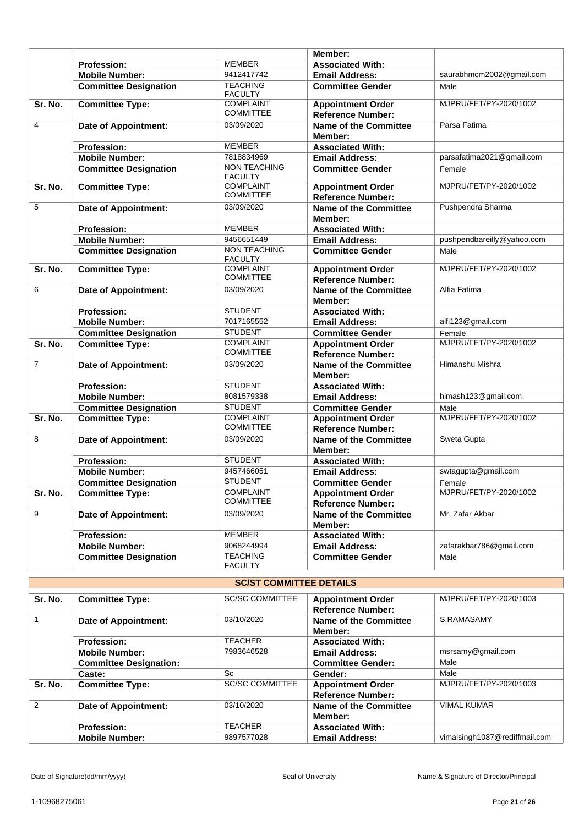|                |                              |                                       | Member:                                              |                            |
|----------------|------------------------------|---------------------------------------|------------------------------------------------------|----------------------------|
|                | <b>Profession:</b>           | <b>MEMBER</b>                         | <b>Associated With:</b>                              |                            |
|                | <b>Mobile Number:</b>        | 9412417742                            | <b>Email Address:</b>                                | saurabhmcm2002@gmail.com   |
|                | <b>Committee Designation</b> | <b>TEACHING</b><br><b>FACULTY</b>     | <b>Committee Gender</b>                              | Male                       |
| Sr. No.        | <b>Committee Type:</b>       | <b>COMPLAINT</b><br><b>COMMITTEE</b>  | <b>Appointment Order</b><br><b>Reference Number:</b> | MJPRU/FET/PY-2020/1002     |
| $\overline{4}$ | <b>Date of Appointment:</b>  | 03/09/2020                            | <b>Name of the Committee</b><br>Member:              | Parsa Fatima               |
|                | <b>Profession:</b>           | <b>MEMBER</b>                         | <b>Associated With:</b>                              |                            |
|                | <b>Mobile Number:</b>        | 7818834969                            | <b>Email Address:</b>                                | parsafatima2021@gmail.com  |
|                | <b>Committee Designation</b> | NON TEACHING<br><b>FACULTY</b>        | <b>Committee Gender</b>                              | Female                     |
| Sr. No.        | <b>Committee Type:</b>       | <b>COMPLAINT</b><br><b>COMMITTEE</b>  | <b>Appointment Order</b><br><b>Reference Number:</b> | MJPRU/FET/PY-2020/1002     |
| 5              | Date of Appointment:         | 03/09/2020                            | <b>Name of the Committee</b><br>Member:              | Pushpendra Sharma          |
|                | <b>Profession:</b>           | <b>MEMBER</b>                         | <b>Associated With:</b>                              |                            |
|                | <b>Mobile Number:</b>        | 9456651449                            | <b>Email Address:</b>                                | pushpendbareilly@yahoo.com |
|                | <b>Committee Designation</b> | <b>NON TEACHING</b><br><b>FACULTY</b> | <b>Committee Gender</b>                              | Male                       |
| Sr. No.        | <b>Committee Type:</b>       | <b>COMPLAINT</b><br><b>COMMITTEE</b>  | <b>Appointment Order</b><br><b>Reference Number:</b> | MJPRU/FET/PY-2020/1002     |
| 6              | <b>Date of Appointment:</b>  | 03/09/2020                            | <b>Name of the Committee</b><br>Member:              | Alfia Fatima               |
|                | <b>Profession:</b>           | <b>STUDENT</b>                        | <b>Associated With:</b>                              |                            |
|                | <b>Mobile Number:</b>        | 7017165552                            | <b>Email Address:</b>                                | alfi123@gmail.com          |
|                | <b>Committee Designation</b> | <b>STUDENT</b>                        | <b>Committee Gender</b>                              | Female                     |
| Sr. No.        | <b>Committee Type:</b>       | <b>COMPLAINT</b><br><b>COMMITTEE</b>  | <b>Appointment Order</b><br><b>Reference Number:</b> | MJPRU/FET/PY-2020/1002     |
| $\overline{7}$ | <b>Date of Appointment:</b>  | 03/09/2020                            | <b>Name of the Committee</b><br>Member:              | Himanshu Mishra            |
|                | <b>Profession:</b>           | <b>STUDENT</b>                        | <b>Associated With:</b>                              |                            |
|                | <b>Mobile Number:</b>        | 8081579338                            | <b>Email Address:</b>                                | himash123@gmail.com        |
|                | <b>Committee Designation</b> | <b>STUDENT</b>                        | <b>Committee Gender</b>                              | Male                       |
| Sr. No.        | <b>Committee Type:</b>       | <b>COMPLAINT</b><br><b>COMMITTEE</b>  | <b>Appointment Order</b><br><b>Reference Number:</b> | MJPRU/FET/PY-2020/1002     |
| 8              | <b>Date of Appointment:</b>  | 03/09/2020                            | <b>Name of the Committee</b><br>Member:              | Sweta Gupta                |
|                | <b>Profession:</b>           | <b>STUDENT</b>                        | <b>Associated With:</b>                              |                            |
|                | <b>Mobile Number:</b>        | 9457466051                            | <b>Email Address:</b>                                | swtagupta@gmail.com        |
|                | <b>Committee Designation</b> | <b>STUDENT</b>                        | <b>Committee Gender</b>                              | Female                     |
| Sr. No.        | <b>Committee Type:</b>       | <b>COMPLAINT</b><br><b>COMMITTEE</b>  | <b>Appointment Order</b><br><b>Reference Number:</b> | MJPRU/FET/PY-2020/1002     |
| 9              | <b>Date of Appointment:</b>  | 03/09/2020                            | <b>Name of the Committee</b><br>Member:              | Mr. Zafar Akbar            |
|                | Profession:                  | <b>MEMBER</b>                         | <b>Associated With:</b>                              |                            |
|                | <b>Mobile Number:</b>        | 9068244994                            | <b>Email Address:</b>                                | zafarakbar786@gmail.com    |
|                | <b>Committee Designation</b> | <b>TEACHING</b><br><b>FACULTY</b>     | <b>Committee Gender</b>                              | Male                       |

| <b>SC/ST COMMITTEE DETAILS</b> |                               |                        |                                                      |                               |
|--------------------------------|-------------------------------|------------------------|------------------------------------------------------|-------------------------------|
| Sr. No.                        | <b>Committee Type:</b>        | <b>SC/SC COMMITTEE</b> | <b>Appointment Order</b><br><b>Reference Number:</b> | MJPRU/FET/PY-2020/1003        |
|                                | Date of Appointment:          | 03/10/2020             | <b>Name of the Committee</b><br>Member:              | S.RAMASAMY                    |
|                                | <b>Profession:</b>            | <b>TEACHER</b>         | <b>Associated With:</b>                              |                               |
|                                | <b>Mobile Number:</b>         | 7983646528             | <b>Email Address:</b>                                | msrsamy@gmail.com             |
|                                | <b>Committee Designation:</b> |                        | <b>Committee Gender:</b>                             | Male                          |
|                                | Caste:                        | Sc                     | Gender:                                              | Male                          |
| Sr. No.                        | <b>Committee Type:</b>        | <b>SC/SC COMMITTEE</b> | <b>Appointment Order</b><br><b>Reference Number:</b> | MJPRU/FET/PY-2020/1003        |
| $\mathfrak{p}$                 | <b>Date of Appointment:</b>   | 03/10/2020             | Name of the Committee<br>Member:                     | <b>VIMAL KUMAR</b>            |
|                                | <b>Profession:</b>            | <b>TEACHER</b>         | <b>Associated With:</b>                              |                               |
|                                | <b>Mobile Number:</b>         | 9897577028             | <b>Email Address:</b>                                | vimalsingh1087@rediffmail.com |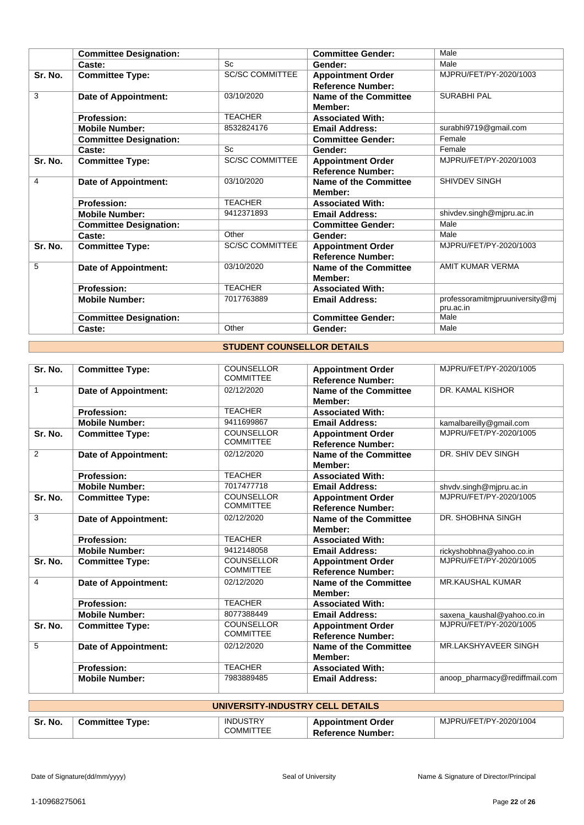|         | <b>Committee Designation:</b> |                        | <b>Committee Gender:</b>                             | Male                                         |
|---------|-------------------------------|------------------------|------------------------------------------------------|----------------------------------------------|
|         | Caste:                        | Sc                     | Gender:                                              | Male                                         |
| Sr. No. | <b>Committee Type:</b>        | <b>SC/SC COMMITTEE</b> | <b>Appointment Order</b><br><b>Reference Number:</b> | MJPRU/FET/PY-2020/1003                       |
| 3       | Date of Appointment:          | 03/10/2020             | <b>Name of the Committee</b><br>Member:              | <b>SURABHI PAL</b>                           |
|         | <b>Profession:</b>            | <b>TEACHER</b>         | <b>Associated With:</b>                              |                                              |
|         | <b>Mobile Number:</b>         | 8532824176             | <b>Email Address:</b>                                | surabhi9719@gmail.com                        |
|         | <b>Committee Designation:</b> |                        | <b>Committee Gender:</b>                             | Female                                       |
|         | Caste:                        | <b>Sc</b>              | Gender:                                              | Female                                       |
| Sr. No. | <b>Committee Type:</b>        | <b>SC/SC COMMITTEE</b> | <b>Appointment Order</b><br><b>Reference Number:</b> | MJPRU/FET/PY-2020/1003                       |
| 4       | Date of Appointment:          | 03/10/2020             | <b>Name of the Committee</b><br>Member:              | SHIVDEV SINGH                                |
|         | <b>Profession:</b>            | <b>TEACHER</b>         | <b>Associated With:</b>                              |                                              |
|         | <b>Mobile Number:</b>         | 9412371893             | <b>Email Address:</b>                                | shivdev.singh@mjpru.ac.in                    |
|         | <b>Committee Designation:</b> |                        | <b>Committee Gender:</b>                             | Male                                         |
|         | Caste:                        | Other                  | Gender:                                              | Male                                         |
| Sr. No. | <b>Committee Type:</b>        | <b>SC/SC COMMITTEE</b> | <b>Appointment Order</b><br><b>Reference Number:</b> | MJPRU/FET/PY-2020/1003                       |
| 5       | Date of Appointment:          | 03/10/2020             | Name of the Committee<br>Member:                     | AMIT KUMAR VERMA                             |
|         | <b>Profession:</b>            | <b>TEACHER</b>         | <b>Associated With:</b>                              |                                              |
|         | <b>Mobile Number:</b>         | 7017763889             | <b>Email Address:</b>                                | professoramitmjpruuniversity@mj<br>pru.ac.in |
|         | <b>Committee Designation:</b> |                        | <b>Committee Gender:</b>                             | Male                                         |
|         | Caste:                        | Other                  | Gender:                                              | Male                                         |

# **STUDENT COUNSELLOR DETAILS**

| Sr. No.      | <b>Committee Type:</b>      | <b>COUNSELLOR</b><br><b>COMMITTEE</b> | <b>Appointment Order</b><br><b>Reference Number:</b> | MJPRU/FET/PY-2020/1005        |
|--------------|-----------------------------|---------------------------------------|------------------------------------------------------|-------------------------------|
| $\mathbf{1}$ | <b>Date of Appointment:</b> | 02/12/2020                            | <b>Name of the Committee</b><br>Member:              | DR. KAMAL KISHOR              |
|              | <b>Profession:</b>          | <b>TEACHER</b>                        | <b>Associated With:</b>                              |                               |
|              | <b>Mobile Number:</b>       | 9411699867                            | <b>Email Address:</b>                                | kamalbareilly@gmail.com       |
| Sr. No.      | <b>Committee Type:</b>      | <b>COUNSELLOR</b><br><b>COMMITTEE</b> | <b>Appointment Order</b><br><b>Reference Number:</b> | MJPRU/FET/PY-2020/1005        |
| 2            | Date of Appointment:        | 02/12/2020                            | Name of the Committee<br>Member:                     | DR. SHIV DEV SINGH            |
|              | <b>Profession:</b>          | <b>TEACHER</b>                        | <b>Associated With:</b>                              |                               |
|              | <b>Mobile Number:</b>       | 7017477718                            | <b>Email Address:</b>                                | shvdv.singh@mjpru.ac.in       |
| Sr. No.      | <b>Committee Type:</b>      | <b>COUNSELLOR</b><br><b>COMMITTEE</b> | <b>Appointment Order</b><br><b>Reference Number:</b> | MJPRU/FET/PY-2020/1005        |
| 3            | <b>Date of Appointment:</b> | 02/12/2020                            | Name of the Committee<br>Member:                     | DR. SHOBHNA SINGH             |
|              | <b>Profession:</b>          | <b>TEACHER</b>                        | <b>Associated With:</b>                              |                               |
|              | <b>Mobile Number:</b>       | 9412148058                            | <b>Email Address:</b>                                | rickyshobhna@yahoo.co.in      |
| Sr. No.      | <b>Committee Type:</b>      | <b>COUNSELLOR</b><br><b>COMMITTEE</b> | <b>Appointment Order</b><br><b>Reference Number:</b> | MJPRU/FET/PY-2020/1005        |
| 4            | Date of Appointment:        | 02/12/2020                            | Name of the Committee<br>Member:                     | <b>MR.KAUSHAL KUMAR</b>       |
|              | <b>Profession:</b>          | <b>TEACHER</b>                        | <b>Associated With:</b>                              |                               |
|              | <b>Mobile Number:</b>       | 8077388449                            | <b>Email Address:</b>                                | saxena_kaushal@yahoo.co.in    |
| Sr. No.      | <b>Committee Type:</b>      | <b>COUNSELLOR</b><br><b>COMMITTEE</b> | <b>Appointment Order</b><br><b>Reference Number:</b> | MJPRU/FET/PY-2020/1005        |
| 5            | Date of Appointment:        | 02/12/2020                            | <b>Name of the Committee</b><br>Member:              | MR.LAKSHYAVEER SINGH          |
|              | <b>Profession:</b>          | <b>TEACHER</b>                        | <b>Associated With:</b>                              |                               |
|              | <b>Mobile Number:</b>       | 7983889485                            | <b>Email Address:</b>                                | anoop pharmacy@rediffmail.com |

| UNIVERSITY-INDUSTRY CELL DETAILS |                        |                 |                          |                        |
|----------------------------------|------------------------|-----------------|--------------------------|------------------------|
| Sr. No.                          | <b>Committee Type:</b> | <b>INDUSTRY</b> | <b>Appointment Order</b> | MJPRU/FET/PY-2020/1004 |
|                                  |                        | COMMITTEE       | <b>Reference Number:</b> |                        |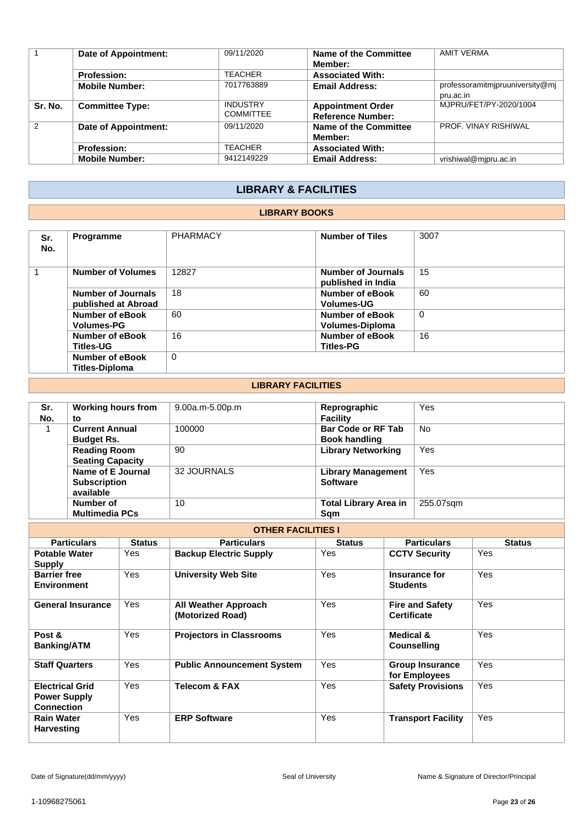|         | Date of Appointment:   | 09/11/2020                          | Name of the Committee<br>Member:                     | AMIT VERMA                                   |
|---------|------------------------|-------------------------------------|------------------------------------------------------|----------------------------------------------|
|         | <b>Profession:</b>     | <b>TEACHER</b>                      | <b>Associated With:</b>                              |                                              |
|         | <b>Mobile Number:</b>  | 7017763889                          | <b>Email Address:</b>                                | professoramitmipruuniversity@mj<br>pru.ac.in |
| Sr. No. | <b>Committee Type:</b> | <b>INDUSTRY</b><br><b>COMMITTEE</b> | <b>Appointment Order</b><br><b>Reference Number:</b> | MJPRU/FET/PY-2020/1004                       |
| 2       | Date of Appointment:   | 09/11/2020                          | Name of the Committee<br>Member:                     | PROF. VINAY RISHIWAL                         |
|         | <b>Profession:</b>     | <b>TEACHER</b>                      | <b>Associated With:</b>                              |                                              |
|         | <b>Mobile Number:</b>  | 9412149229                          | <b>Email Address:</b>                                | vrishiwal@mjpru.ac.in                        |

# **LIBRARY & FACILITIES**

## **LIBRARY BOOKS**

| Sr.<br>No. | <b>Programme</b>                                 | <b>PHARMACY</b> | <b>Number of Tiles</b>                   | 3007 |
|------------|--------------------------------------------------|-----------------|------------------------------------------|------|
|            | <b>Number of Volumes</b>                         | 12827           | Number of Journals<br>published in India | 15   |
|            | <b>Number of Journals</b><br>published at Abroad | 18              | Number of eBook<br><b>Volumes-UG</b>     | 60   |
|            | Number of eBook<br><b>Volumes-PG</b>             | 60              | Number of eBook<br>Volumes-Diploma       | 0    |
|            | Number of eBook<br><b>Titles-UG</b>              | 16              | Number of eBook<br><b>Titles-PG</b>      | 16   |
|            | Number of eBook<br><b>Titles-Diploma</b>         | 0               |                                          |      |

## **LIBRARY FACILITIES**

| Sr.<br>No. | <b>Working hours from</b><br>to                       | $9.00a.m-5.00p.m$ | Reprographic<br><b>Facility</b>                   | Yes       |
|------------|-------------------------------------------------------|-------------------|---------------------------------------------------|-----------|
|            | <b>Current Annual</b><br><b>Budget Rs.</b>            | 100000            | <b>Bar Code or RF Tab</b><br><b>Book handling</b> | <b>No</b> |
|            | <b>Reading Room</b><br><b>Seating Capacity</b>        | 90                | <b>Library Networking</b>                         | Yes       |
|            | Name of E Journal<br><b>Subscription</b><br>available | 32 JOURNALS       | <b>Library Management</b><br><b>Software</b>      | Yes       |
|            | Number of<br><b>Multimedia PCs</b>                    | 10                | <b>Total Library Area in</b><br>Sam               | 255.07sqm |

| <b>OTHER FACILITIES I</b>                                          |               |                                                 |               |                                              |               |  |  |
|--------------------------------------------------------------------|---------------|-------------------------------------------------|---------------|----------------------------------------------|---------------|--|--|
| <b>Particulars</b>                                                 | <b>Status</b> | <b>Particulars</b>                              | <b>Status</b> | <b>Particulars</b>                           | <b>Status</b> |  |  |
| <b>Potable Water</b><br><b>Supply</b>                              | Yes           | <b>Backup Electric Supply</b>                   | Yes           | <b>CCTV Security</b>                         | Yes           |  |  |
| <b>Barrier free</b><br><b>Environment</b>                          | Yes           | <b>University Web Site</b>                      | Yes           | Insurance for<br><b>Students</b>             | Yes           |  |  |
| <b>General Insurance</b>                                           | Yes           | <b>All Weather Approach</b><br>(Motorized Road) | Yes           | <b>Fire and Safety</b><br><b>Certificate</b> | Yes           |  |  |
| Post &<br><b>Banking/ATM</b>                                       | Yes           | <b>Projectors in Classrooms</b>                 | Yes           | Medical &<br><b>Counselling</b>              | Yes           |  |  |
| <b>Staff Quarters</b>                                              | Yes           | <b>Public Announcement System</b>               | Yes           | <b>Group Insurance</b><br>for Employees      | Yes           |  |  |
| <b>Electrical Grid</b><br><b>Power Supply</b><br><b>Connection</b> | Yes           | <b>Telecom &amp; FAX</b>                        | Yes           | <b>Safety Provisions</b>                     | Yes           |  |  |
| <b>Rain Water</b><br><b>Harvesting</b>                             | Yes           | <b>ERP Software</b>                             | Yes           | <b>Transport Facility</b>                    | Yes           |  |  |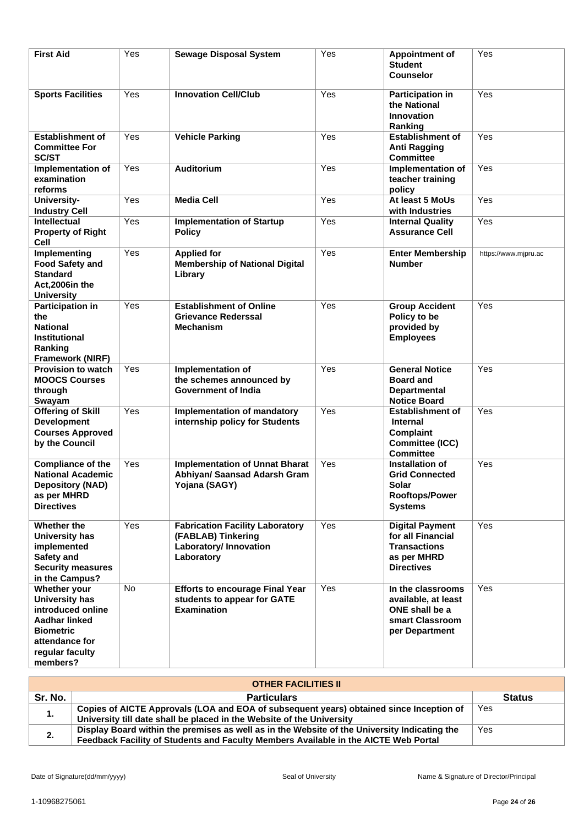| <b>First Aid</b>                                                                                                                                 | Yes | <b>Sewage Disposal System</b>                                                                              | Yes | <b>Appointment of</b><br><b>Student</b><br><b>Counselor</b>                                            | Yes                  |
|--------------------------------------------------------------------------------------------------------------------------------------------------|-----|------------------------------------------------------------------------------------------------------------|-----|--------------------------------------------------------------------------------------------------------|----------------------|
| <b>Sports Facilities</b>                                                                                                                         | Yes | <b>Innovation Cell/Club</b>                                                                                | Yes | <b>Participation in</b><br>the National<br><b>Innovation</b><br>Ranking                                | Yes                  |
| <b>Establishment of</b><br><b>Committee For</b><br><b>SC/ST</b>                                                                                  | Yes | <b>Vehicle Parking</b>                                                                                     | Yes | <b>Establishment of</b><br><b>Anti Ragging</b><br><b>Committee</b>                                     | Yes                  |
| Implementation of<br>examination<br>reforms                                                                                                      | Yes | <b>Auditorium</b>                                                                                          | Yes | Implementation of<br>teacher training<br>policy                                                        | Yes                  |
| University-                                                                                                                                      | Yes | <b>Media Cell</b>                                                                                          | Yes | At least 5 MoUs                                                                                        | Yes                  |
| <b>Industry Cell</b>                                                                                                                             |     |                                                                                                            |     | with Industries                                                                                        |                      |
| <b>Intellectual</b><br><b>Property of Right</b><br>Cell                                                                                          | Yes | <b>Implementation of Startup</b><br><b>Policy</b>                                                          | Yes | <b>Internal Quality</b><br><b>Assurance Cell</b>                                                       | Yes                  |
| Implementing<br><b>Food Safety and</b><br><b>Standard</b><br>Act.2006in the<br><b>University</b>                                                 | Yes | <b>Applied for</b><br><b>Membership of National Digital</b><br>Library                                     | Yes | <b>Enter Membership</b><br><b>Number</b>                                                               | https://www.mjpru.ac |
| <b>Participation in</b><br>the<br><b>National</b><br>Institutional<br>Ranking<br><b>Framework (NIRF)</b>                                         | Yes | <b>Establishment of Online</b><br><b>Grievance Rederssal</b><br><b>Mechanism</b>                           | Yes | <b>Group Accident</b><br>Policy to be<br>provided by<br><b>Employees</b>                               | Yes                  |
| <b>Provision to watch</b><br><b>MOOCS Courses</b><br>through<br>Swayam                                                                           | Yes | Implementation of<br>the schemes announced by<br><b>Government of India</b>                                | Yes | <b>General Notice</b><br><b>Board and</b><br><b>Departmental</b><br><b>Notice Board</b>                | Yes                  |
| <b>Offering of Skill</b><br><b>Development</b><br><b>Courses Approved</b><br>by the Council                                                      | Yes | <b>Implementation of mandatory</b><br>internship policy for Students                                       | Yes | <b>Establishment of</b><br><b>Internal</b><br><b>Complaint</b><br>Committee (ICC)<br><b>Committee</b>  | Yes                  |
| <b>Compliance of the</b><br><b>National Academic</b><br><b>Depository (NAD)</b><br>as per MHRD<br><b>Directives</b>                              | Yes | <b>Implementation of Unnat Bharat</b><br>Abhiyan/ Saansad Adarsh Gram<br>Yojana (SAGY)                     | Yes | Installation of<br><b>Grid Connected</b><br>Solar<br><b>Rooftops/Power</b><br><b>Systems</b>           | Yes                  |
| Whether the<br><b>University has</b><br>implemented<br>Safety and<br><b>Security measures</b><br>in the Campus?                                  | Yes | <b>Fabrication Facility Laboratory</b><br>(FABLAB) Tinkering<br><b>Laboratory/Innovation</b><br>Laboratory | Yes | <b>Digital Payment</b><br>for all Financial<br><b>Transactions</b><br>as per MHRD<br><b>Directives</b> | Yes                  |
| Whether your<br><b>University has</b><br>introduced online<br>Aadhar linked<br><b>Biometric</b><br>attendance for<br>regular faculty<br>members? | No  | <b>Efforts to encourage Final Year</b><br>students to appear for GATE<br><b>Examination</b>                | Yes | In the classrooms<br>available, at least<br>ONE shall be a<br>smart Classroom<br>per Department        | Yes                  |

|         | <b>OTHER FACILITIES II</b>                                                                                                                                       |               |
|---------|------------------------------------------------------------------------------------------------------------------------------------------------------------------|---------------|
| Sr. No. | <b>Particulars</b>                                                                                                                                               | <b>Status</b> |
| 1.      | Copies of AICTE Approvals (LOA and EOA of subsequent years) obtained since Inception of<br>University till date shall be placed in the Website of the University | Yes           |
|         | Display Board within the premises as well as in the Website of the University Indicating the                                                                     | Yes           |
| 2.      | Feedback Facility of Students and Faculty Members Available in the AICTE Web Portal                                                                              |               |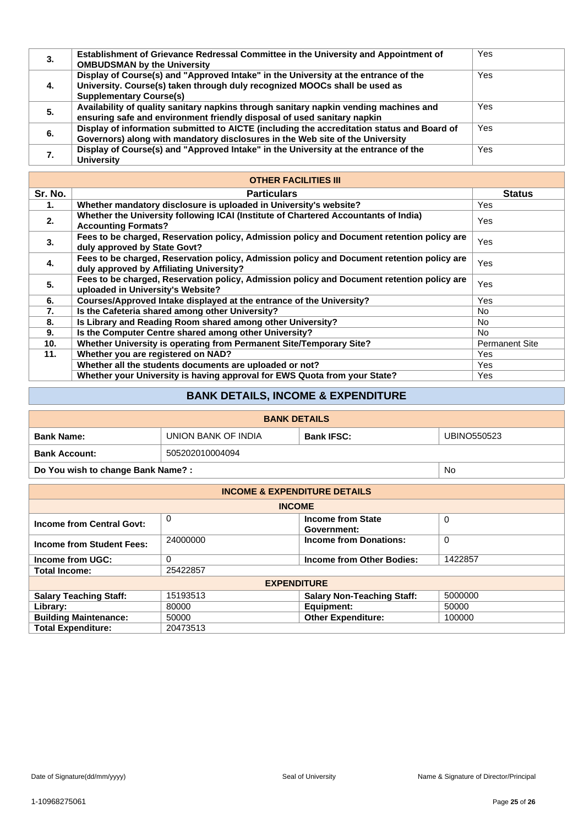| 3. | Establishment of Grievance Redressal Committee in the University and Appointment of<br><b>OMBUDSMAN by the University</b>                                                                           | Yes |
|----|-----------------------------------------------------------------------------------------------------------------------------------------------------------------------------------------------------|-----|
| 4. | Display of Course(s) and "Approved Intake" in the University at the entrance of the<br>University. Course(s) taken through duly recognized MOOCs shall be used as<br><b>Supplementary Course(s)</b> | Yes |
| 5. | Availability of quality sanitary napkins through sanitary napkin vending machines and<br>ensuring safe and environment friendly disposal of used sanitary napkin                                    | Yes |
| 6. | Display of information submitted to AICTE (including the accreditation status and Board of<br>Governors) along with mandatory disclosures in the Web site of the University                         | Yes |
|    | Display of Course(s) and "Approved Intake" in the University at the entrance of the<br><b>University</b>                                                                                            | Yes |

|         | <b>OTHER FACILITIES III</b>                                                                                                            |                       |
|---------|----------------------------------------------------------------------------------------------------------------------------------------|-----------------------|
| Sr. No. | <b>Particulars</b>                                                                                                                     | <b>Status</b>         |
| 1.      | Whether mandatory disclosure is uploaded in University's website?                                                                      | Yes                   |
| 2.      | Whether the University following ICAI (Institute of Chartered Accountants of India)<br><b>Accounting Formats?</b>                      | Yes                   |
| 3.      | Fees to be charged, Reservation policy, Admission policy and Document retention policy are<br>duly approved by State Govt?             | <b>Yes</b>            |
| 4.      | Fees to be charged, Reservation policy, Admission policy and Document retention policy are<br>duly approved by Affiliating University? | Yes                   |
| 5.      | Fees to be charged, Reservation policy, Admission policy and Document retention policy are<br>uploaded in University's Website?        | Yes                   |
| 6.      | Courses/Approved Intake displayed at the entrance of the University?                                                                   | <b>Yes</b>            |
| 7.      | Is the Cafeteria shared among other University?                                                                                        | No.                   |
| 8.      | Is Library and Reading Room shared among other University?                                                                             | No.                   |
| 9.      | Is the Computer Centre shared among other University?                                                                                  | No.                   |
| 10.     | Whether University is operating from Permanent Site/Temporary Site?                                                                    | <b>Permanent Site</b> |
| 11.     | Whether you are registered on NAD?                                                                                                     | Yes                   |
|         | Whether all the students documents are uploaded or not?                                                                                | Yes                   |
|         | Whether your University is having approval for EWS Quota from your State?                                                              | Yes                   |

# **BANK DETAILS, INCOME & EXPENDITURE**

|                                   |                                                                | <b>BANK DETAILS</b> |  |    |  |  |  |  |  |  |  |
|-----------------------------------|----------------------------------------------------------------|---------------------|--|----|--|--|--|--|--|--|--|
| <b>Bank Name:</b>                 | UNION BANK OF INDIA<br><b>Bank IFSC:</b><br><b>UBINO550523</b> |                     |  |    |  |  |  |  |  |  |  |
| <b>Bank Account:</b>              | 505202010004094                                                |                     |  |    |  |  |  |  |  |  |  |
| Do You wish to change Bank Name?: |                                                                |                     |  | No |  |  |  |  |  |  |  |

| <b>INCOME &amp; EXPENDITURE DETAILS</b> |                    |                                      |         |  |  |  |  |  |  |  |  |
|-----------------------------------------|--------------------|--------------------------------------|---------|--|--|--|--|--|--|--|--|
|                                         | <b>INCOME</b>      |                                      |         |  |  |  |  |  |  |  |  |
| <b>Income from Central Govt:</b>        | 0                  |                                      |         |  |  |  |  |  |  |  |  |
| <b>Income from Student Fees:</b>        | 24000000           | <b>Income from Donations:</b>        | 0       |  |  |  |  |  |  |  |  |
| Income from UGC:                        | 0                  | 1422857<br>Income from Other Bodies: |         |  |  |  |  |  |  |  |  |
| <b>Total Income:</b>                    | 25422857           |                                      |         |  |  |  |  |  |  |  |  |
|                                         | <b>EXPENDITURE</b> |                                      |         |  |  |  |  |  |  |  |  |
| <b>Salary Teaching Staff:</b>           | 15193513           | <b>Salary Non-Teaching Staff:</b>    | 5000000 |  |  |  |  |  |  |  |  |
| Library:                                | 80000              | Equipment:                           | 50000   |  |  |  |  |  |  |  |  |
| <b>Building Maintenance:</b>            | 50000              | <b>Other Expenditure:</b>            | 100000  |  |  |  |  |  |  |  |  |
| <b>Total Expenditure:</b>               | 20473513           |                                      |         |  |  |  |  |  |  |  |  |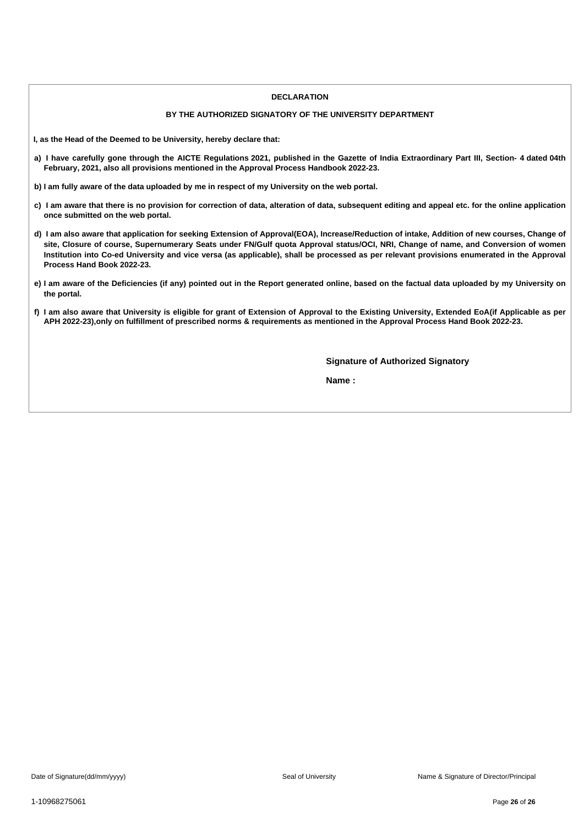#### **DECLARATION**

#### **BY THE AUTHORIZED SIGNATORY OF THE UNIVERSITY DEPARTMENT**

**I, as the Head of the Deemed to be University, hereby declare that:**

- a) I have carefully gone through the AICTE Regulations 2021, published in the Gazette of India Extraordinary Part III, Section- 4 dated 04th **February, 2021, also all provisions mentioned in the Approval Process Handbook 2022-23.**
- b) I am fully aware of the data uploaded by me in respect of my University on the web portal.
- c) I am aware that there is no provision for correction of data, alteration of data, subsequent editing and appeal etc. for the online application **once submitted on the web portal.**
- d) I am also aware that application for seeking Extension of Approval(EOA), Increase/Reduction of intake, Addition of new courses, Change of site, Closure of course, Supernumerary Seats under FN/Gulf quota Approval status/OCI, NRI, Change of name, and Conversion of women Institution into Co-ed University and vice versa (as applicable), shall be processed as per relevant provisions enumerated in the Approval **Process Hand Book 2022-23.**
- e) I am aware of the Deficiencies (if any) pointed out in the Report generated online, based on the factual data uploaded by my University on **the portal.**
- f) I am also aware that University is eligible for grant of Extension of Approval to the Existing University, Extended EoA(if Applicable as per APH 2022-23), only on fulfillment of prescribed norms & requirements as mentioned in the Approval Process Hand Book 2022-23.

**Signature of Authorized Signatory**

**Name :**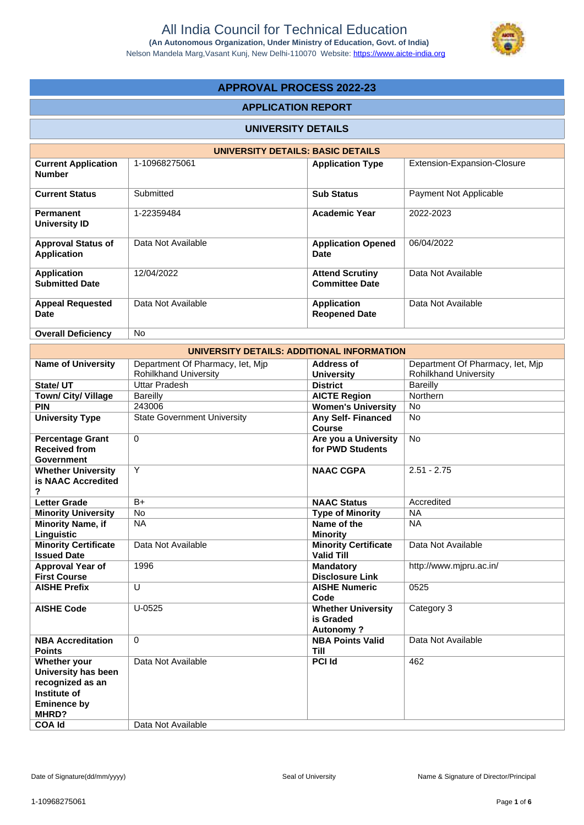

## **APPROVAL PROCESS 2022-23**

#### **APPLICATION REPORT**

#### **UNIVERSITY DETAILS**

|                                                 | UNIVERSITY DETAILS: BASIC DETAILS |                                                 |                             |
|-------------------------------------------------|-----------------------------------|-------------------------------------------------|-----------------------------|
| <b>Current Application</b><br><b>Number</b>     | 1-10968275061                     | <b>Application Type</b>                         | Extension-Expansion-Closure |
| <b>Current Status</b>                           | Submitted                         | <b>Sub Status</b>                               | Payment Not Applicable      |
| <b>Permanent</b><br>University ID               | 1-22359484                        | <b>Academic Year</b>                            | 2022-2023                   |
| <b>Approval Status of</b><br><b>Application</b> | Data Not Available                | <b>Application Opened</b><br>Date               | 06/04/2022                  |
| <b>Application</b><br><b>Submitted Date</b>     | 12/04/2022                        | <b>Attend Scrutiny</b><br><b>Committee Date</b> | Data Not Available          |
| <b>Appeal Requested</b><br>Date                 | Data Not Available                | <b>Application</b><br><b>Reopened Date</b>      | Data Not Available          |
| <b>Overall Deficiency</b>                       | No.                               |                                                 |                             |

|                                                                                                        | UNIVERSITY DETAILS: ADDITIONAL INFORMATION                       |                                                            |                                                                  |
|--------------------------------------------------------------------------------------------------------|------------------------------------------------------------------|------------------------------------------------------------|------------------------------------------------------------------|
| <b>Name of University</b>                                                                              | Department Of Pharmacy, let, Mjp<br><b>Rohilkhand University</b> | <b>Address of</b><br><b>University</b>                     | Department Of Pharmacy, let, Mjp<br><b>Rohilkhand University</b> |
| State/ UT                                                                                              | <b>Uttar Pradesh</b>                                             | <b>District</b>                                            | <b>Bareilly</b>                                                  |
| <b>Town/ City/ Village</b>                                                                             | Bareilly                                                         | <b>AICTE Region</b>                                        | Northern                                                         |
| <b>PIN</b>                                                                                             | 243006                                                           | <b>Women's University</b>                                  | No                                                               |
| <b>University Type</b>                                                                                 | <b>State Government University</b>                               | <b>Any Self- Financed</b><br><b>Course</b>                 | <b>No</b>                                                        |
| <b>Percentage Grant</b><br><b>Received from</b><br><b>Government</b>                                   | $\mathbf 0$                                                      | Are you a University<br>for PWD Students                   | No                                                               |
| <b>Whether University</b><br>is NAAC Accredited<br>?                                                   | Y                                                                | <b>NAAC CGPA</b>                                           | $2.51 - 2.75$                                                    |
| <b>Letter Grade</b>                                                                                    | $B+$                                                             | <b>NAAC Status</b>                                         | Accredited                                                       |
| <b>Minority University</b>                                                                             | No                                                               | <b>Type of Minority</b>                                    | <b>NA</b>                                                        |
| <b>Minority Name, if</b><br>Linguistic                                                                 | <b>NA</b>                                                        | Name of the<br><b>Minority</b>                             | <b>NA</b>                                                        |
| <b>Minority Certificate</b><br><b>Issued Date</b>                                                      | Data Not Available                                               | <b>Minority Certificate</b><br><b>Valid Till</b>           | Data Not Available                                               |
| Approval Year of<br><b>First Course</b>                                                                | 1996                                                             | <b>Mandatory</b><br><b>Disclosure Link</b>                 | http://www.mjpru.ac.in/                                          |
| <b>AISHE Prefix</b>                                                                                    | $\cup$                                                           | <b>AISHE Numeric</b><br>Code                               | 0525                                                             |
| <b>AISHE Code</b>                                                                                      | $U-0525$                                                         | <b>Whether University</b><br>is Graded<br><b>Autonomy?</b> | Category 3                                                       |
| <b>NBA Accreditation</b><br><b>Points</b>                                                              | $\Omega$                                                         | <b>NBA Points Valid</b><br><b>Till</b>                     | Data Not Available                                               |
| Whether your<br>University has been<br>recognized as an<br>Institute of<br><b>Eminence by</b><br>MHRD? | Data Not Available<br>Data Not Available                         | <b>PCI Id</b>                                              | 462                                                              |
| <b>COA Id</b>                                                                                          |                                                                  |                                                            |                                                                  |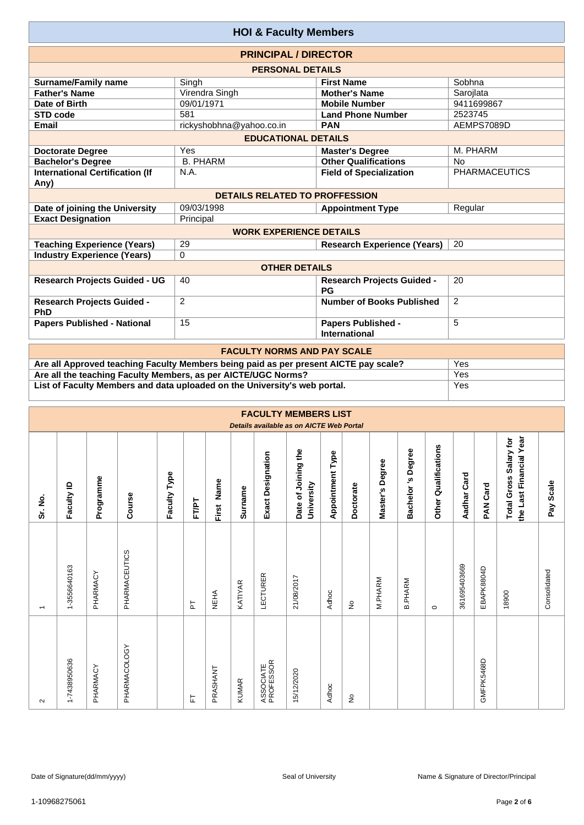| <b>HOI &amp; Faculty Members</b>                                     |                                       |                                                   |                      |  |  |  |  |  |  |  |  |
|----------------------------------------------------------------------|---------------------------------------|---------------------------------------------------|----------------------|--|--|--|--|--|--|--|--|
| <b>PRINCIPAL / DIRECTOR</b>                                          |                                       |                                                   |                      |  |  |  |  |  |  |  |  |
|                                                                      | <b>PERSONAL DETAILS</b>               |                                                   |                      |  |  |  |  |  |  |  |  |
| <b>Surname/Family name</b>                                           | Singh                                 | <b>First Name</b>                                 | Sobhna               |  |  |  |  |  |  |  |  |
| <b>Father's Name</b>                                                 | Virendra Singh                        | <b>Mother's Name</b>                              | Sarojlata            |  |  |  |  |  |  |  |  |
| Date of Birth                                                        | 09/01/1971                            | <b>Mobile Number</b>                              | 9411699867           |  |  |  |  |  |  |  |  |
| <b>STD code</b>                                                      | 581                                   | 2523745<br><b>Land Phone Number</b>               |                      |  |  |  |  |  |  |  |  |
| <b>Email</b>                                                         | rickyshobhna@yahoo.co.in              | AEMPS7089D<br><b>PAN</b>                          |                      |  |  |  |  |  |  |  |  |
| <b>EDUCATIONAL DETAILS</b>                                           |                                       |                                                   |                      |  |  |  |  |  |  |  |  |
| M. PHARM<br><b>Doctorate Degree</b><br>Yes<br><b>Master's Degree</b> |                                       |                                                   |                      |  |  |  |  |  |  |  |  |
| <b>Bachelor's Degree</b>                                             | <b>B. PHARM</b>                       | <b>Other Qualifications</b>                       | <b>No</b>            |  |  |  |  |  |  |  |  |
| <b>International Certification (If</b><br>Any)                       | N.A.                                  | <b>Field of Specialization</b>                    | <b>PHARMACEUTICS</b> |  |  |  |  |  |  |  |  |
|                                                                      | <b>DETAILS RELATED TO PROFFESSION</b> |                                                   |                      |  |  |  |  |  |  |  |  |
| Date of joining the University                                       | 09/03/1998                            | <b>Appointment Type</b>                           | Regular              |  |  |  |  |  |  |  |  |
| <b>Exact Designation</b>                                             | Principal                             |                                                   |                      |  |  |  |  |  |  |  |  |
|                                                                      | <b>WORK EXPERIENCE DETAILS</b>        |                                                   |                      |  |  |  |  |  |  |  |  |
| <b>Teaching Experience (Years)</b>                                   | 29                                    | <b>Research Experience (Years)</b>                | 20                   |  |  |  |  |  |  |  |  |
| <b>Industry Experience (Years)</b>                                   | $\Omega$                              |                                                   |                      |  |  |  |  |  |  |  |  |
|                                                                      | <b>OTHER DETAILS</b>                  |                                                   |                      |  |  |  |  |  |  |  |  |
| <b>Research Projects Guided - UG</b>                                 | 40                                    | <b>Research Projects Guided -</b><br><b>PG</b>    | 20                   |  |  |  |  |  |  |  |  |
| <b>Research Projects Guided -</b><br>PhD                             | 2                                     | Number of Books Published                         | 2                    |  |  |  |  |  |  |  |  |
| <b>Papers Published - National</b>                                   | 15                                    | <b>Papers Published -</b><br><b>International</b> | 5                    |  |  |  |  |  |  |  |  |
|                                                                      | <b>EACHLITY NODMS AND DAY SCALE</b>   |                                                   |                      |  |  |  |  |  |  |  |  |

| <b>FACULTY NORMS AND PAY SCALE</b>                                                   |     |
|--------------------------------------------------------------------------------------|-----|
| Are all Approved teaching Faculty Members being paid as per present AICTE pay scale? | Yes |
| Are all the teaching Faculty Members, as per AICTE/UGC Norms?                        | Yes |
| List of Faculty Members and data uploaded on the University's web portal.            | Yes |

|                          |              |           |               |              |       |             |                |                          | <b>FACULTY MEMBERS LIST</b><br>Details available as on AICTE Web Portal |                         |           |                 |                   |                         |              |             |                                                   |              |
|--------------------------|--------------|-----------|---------------|--------------|-------|-------------|----------------|--------------------------|-------------------------------------------------------------------------|-------------------------|-----------|-----------------|-------------------|-------------------------|--------------|-------------|---------------------------------------------------|--------------|
| Sr. No.                  | Faculty ID   | Programme | Course        | Faculty Type | FT/PT | First Name  | <b>Surname</b> | <b>Exact Designation</b> | Date of Joining the<br>University                                       | <b>Appointment Type</b> | Doctorate | Master's Degree | Bachelor's Degree | Qualifications<br>Other | Aadhar Card  | Card<br>PAN | the Last Financial Year<br>Total Gross Salary for | Scale<br>Pay |
| $\overline{\phantom{0}}$ | 1-3556640163 | PHARMACY  | PHARMACEUTICS |              | 눈     | <b>NEHA</b> | KATIYAR        | LECTURER                 | 21/08/2017                                                              | Adhoc                   | ş         | M.PHARM         | <b>B.PHARM</b>    | $\circ$                 | 361695403669 | EBAPK8804D  | 18900                                             | Consolidated |
| $\sim$                   | 1-7438950636 | PHARMACY  | PHARMACOLOGY  |              | 뉸     | PRASHANT    | <b>KUMAR</b>   | ASSOCIATE<br>PROFESSOR   | 15/12/2020                                                              | Adhoc                   | ş         |                 |                   |                         |              | GMFPK5468D  |                                                   |              |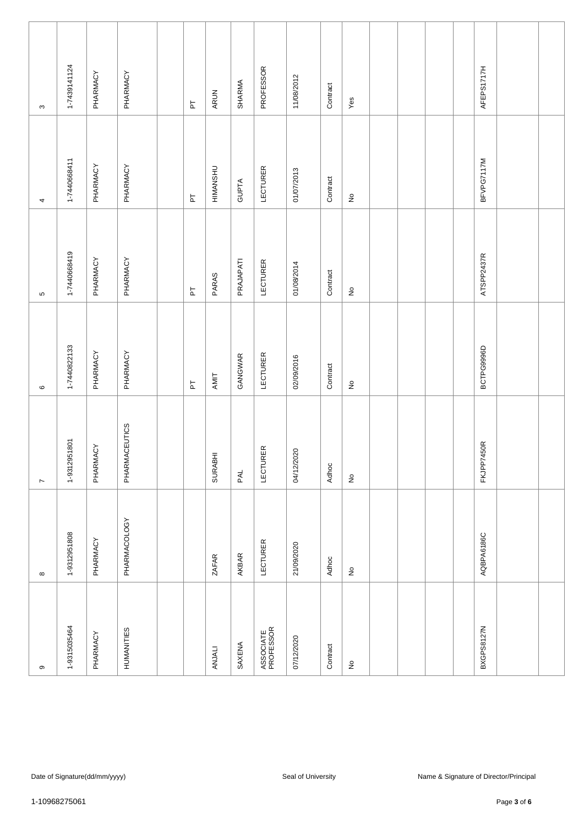| თ                          | $\infty$           | $\overline{\phantom{a}}$   | $\mathbf \circ$             | Б                          | 4                          | $\boldsymbol{\varsigma}$ |
|----------------------------|--------------------|----------------------------|-----------------------------|----------------------------|----------------------------|--------------------------|
| 1-9315035464               | 1-9312951808       | 1-9312951801               | 1-7440822133                | 1-7440668419               | 1-7440668411               | 1-7439141124             |
| PHARMACY                   | PHARMACY           | PHARMACY                   | PHARMACY                    | PHARMACY                   | PHARMACY                   | PHARMACY                 |
| <b>HUMANITIES</b>          | PHARMACOLOGY       | PHARMACEUTICS              | PHARMACY                    | PHARMACY                   | PHARMACY                   | PHARMACY                 |
|                            |                    |                            |                             |                            |                            |                          |
|                            |                    |                            | $\overline{\mathtt{h}}$     | $\overline{\mathtt{h}}$    | $\overline{\mathtt{h}}$    | $\overline{\mathtt{h}}$  |
| ANJALI                     | <b>ZAFAR</b>       | SURABHI                    | AMIT                        | PARAS                      | HIMANSHU                   | ARUN                     |
| SAXENA                     | AKBAR              | PAL                        | GANGWAR                     | PRAJAPATI                  | GUPTA                      | SHARMA                   |
| ASSOCIATE<br>PROFESSOR     | <b>LECTURER</b>    | <b>LECTURER</b>            | LECTURER                    | LECTURER                   | <b>LECTURER</b>            | PROFESSOR                |
| 07/12/2020                 | 21/09/2020         | 04/12/2020                 | 02/09/2016                  | 01/08/2014                 | 01/07/2013                 | 11/08/2012               |
| Contract                   | Adhoc              | Adhoc                      | Contract                    | Contract                   | Contract                   | Contract                 |
| $\frac{\circ}{\mathsf{Z}}$ | $\hat{\mathsf{z}}$ | $\stackrel{\mathtt{o}}{z}$ | $\stackrel{\circ}{\succeq}$ | $\stackrel{\mathtt{o}}{z}$ | $\stackrel{\mathtt{o}}{z}$ | Yes                      |
|                            |                    |                            |                             |                            |                            |                          |
|                            |                    |                            |                             |                            |                            |                          |
|                            |                    |                            |                             |                            |                            |                          |
|                            |                    |                            |                             |                            |                            |                          |
| BXGPS8127N                 | AQBPA6186C         | FKJPP7450R                 | BCTPG9996D                  | ATSPP2437R                 | BFVPG7117M                 | AFEPS1717H               |
|                            |                    |                            |                             |                            |                            |                          |
|                            |                    |                            |                             |                            |                            |                          |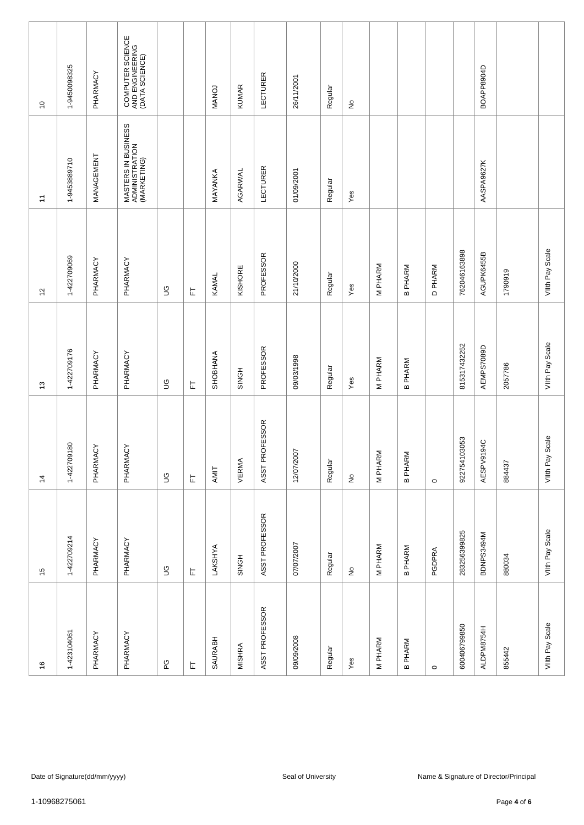| $\tilde{0}$    | 1-9450098325  | PHARMACY                      | COMPUTER SCIENCE<br>AND ENGINEERING<br>(DATA SCIENCE) |             |   | <b>MANOJ</b> | <b>KUMAR</b>  | <b>LECTURER</b> | 26/11/2001         | Regular | $\frac{\mathsf{O}}{\mathsf{E}}$     |         |                |                |              | BOAPP8904D |                                        |                    |
|----------------|---------------|-------------------------------|-------------------------------------------------------|-------------|---|--------------|---------------|-----------------|--------------------|---------|-------------------------------------|---------|----------------|----------------|--------------|------------|----------------------------------------|--------------------|
| Ξ              | 1-9453889710  | MANAGEMENT                    | MASTERS IN BUSINESS<br>ADMINISTRATION<br>(MARKETING)  |             |   | MAYANKA      | AGARWAL       | LECTURER        | 01/09/2001         | Regular | Yes                                 |         |                |                |              | AASPA9627K |                                        |                    |
| 57             | 1-422709069   | PHARMACY                      | PHARMACY                                              | $\mathbb S$ | 匸 | KAMAL        | KISHORE       | PROFESSOR       | 21/10/2000         | Regular | Yes                                 | M PHARM | <b>B PHARM</b> | <b>D PHARM</b> | 762046163898 | AGUPK6455B | 1790919                                | VIIth Pay Scale    |
| 13             | 1-422709176   | PHARMACY                      | PHARMACY                                              | S           | 匸 | SHOBHANA     | SINGH         | PROFESSOR       | 09/03/1998         | Regular | Yes                                 | M PHARM | <b>B PHARM</b> |                | 815317432252 | AEMPS7089D | 2057786                                | VIIth Pay Scale    |
| $\overline{4}$ | 1-422709180   | PHARMACY                      | PHARMACY                                              | $\mathbb S$ | 匸 | AMIT         | VERMA         | ASST PROFESSOR  | 12/07/2007         | Regular | $\stackrel{\mathtt{o}}{\mathsf{z}}$ | M PHARM | <b>B PHARM</b> | $\circ$        | 922754103053 | AESPV9194C | 884437                                 | Scale<br>VIIth Pay |
| $\frac{5}{2}$  | 1-422709214   | PHARMACY                      | PHARMACY                                              | $\mathbb S$ | 匸 | LAKSHYA      | SINGH         | ASST PROFESSOR  | 07/07/2007         | Regular | $\frac{\mathsf{O}}{\mathsf{D}}$     | M PHARM | <b>B PHARM</b> | PGDPRA         | 283256399825 | BDNPS3494M | 880034                                 | Vith Pay Scale     |
| $\frac{6}{2}$  | 1-423104061   | PHARMACY                      | PHARMACY                                              | ဥ           | 匸 | SAURABH      | <b>MISHRA</b> | ASST PROFESSOR  | 09/09/2008         | Regular | Yes                                 | M PHARM | <b>B PHARM</b> | $\circ$        | 600406799850 | ALDPM8754H | 855442                                 | Vith Pay Scale     |
|                |               |                               |                                                       |             |   |              |               |                 |                    |         |                                     |         |                |                |              |            |                                        |                    |
|                |               | Date of Signature(dd/mm/yyyy) |                                                       |             |   |              |               |                 | Seal of University |         |                                     |         |                |                |              |            | Name & Signature of Director/Principal |                    |
|                |               |                               |                                                       |             |   |              |               |                 |                    |         |                                     |         |                |                |              |            |                                        |                    |
|                | 1-10968275061 |                               |                                                       |             |   |              |               |                 |                    |         |                                     |         |                |                |              |            | Page 4 of 6                            |                    |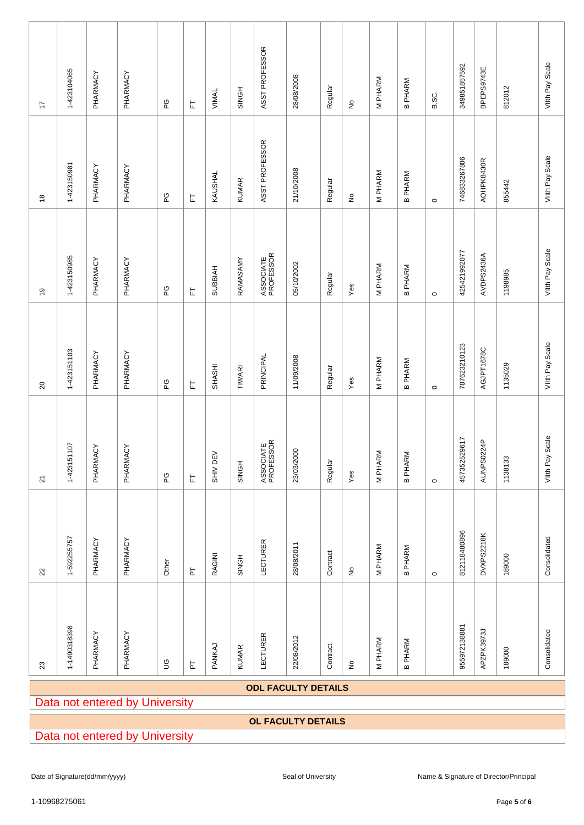| 17                                                                                                             | 1-423104065                                                  | PHARMACY | PHARMACY | ဥ           | 匸                       | VIMAL           | SINGH         | ASST PROFESSOR         | 28/08/2008 | Regular  | $\stackrel{\circ}{\succeq}$ | M PHARM     | <b>B PHARM</b> | B.SC.   | 349851857592 | BPEPS9743E | 812012  | Vilth Pay Scale    |
|----------------------------------------------------------------------------------------------------------------|--------------------------------------------------------------|----------|----------|-------------|-------------------------|-----------------|---------------|------------------------|------------|----------|-----------------------------|-------------|----------------|---------|--------------|------------|---------|--------------------|
| $\overset{\circ}{\phantom{a}}$                                                                                 | 1-423150981                                                  | PHARMACY | PHARMACY | CO<br>L     | 뉸                       | KAUSHAL         | <b>KUMAR</b>  | ASST PROFESSOR         | 21/10/2008 | Regular  | $\stackrel{\mathtt{o}}{z}$  | M PHARM     | <b>B PHARM</b> | $\circ$ | 746833267806 | AOHPK8430R | 855442  | VIIth Pay Scale    |
| $\overline{9}$                                                                                                 | 1-423150985                                                  | PHARMACY | PHARMACY | PG          | 匸                       | <b>SUBBIAH</b>  | RAMASAMY      | ASSOCIATE<br>PROFESSOR | 05/10/2002 | Regular  | Yes                         | M PHARM     | <b>B PHARM</b> | $\circ$ | 425421992077 | AVDPS2436A | 1198985 | VIIth Pay Scale    |
| $\overline{c}$                                                                                                 | 1-423151103                                                  | PHARMACY | PHARMACY | ဥ           | 匸                       | SHASHI          | <b>TIWARI</b> | PRINCIPAL              | 11/09/2008 | Regular  | Yes                         | M PHARM     | <b>B PHARM</b> | $\circ$ | 787623210123 | AGJPT1678C | 1135029 | VIIth Pay Scale    |
| $\overline{2}$                                                                                                 | 1-423151107                                                  | PHARMACY | PHARMACY | ဥ           | 匸                       | <b>SHIV DEV</b> | SINGH         | ASSOCIATE<br>PROFESSOR | 23/03/2000 | Regular  | Yes                         | M PHARM     | <b>B PHARM</b> | $\circ$ | 457352529617 | AUNPS0224P | 1138133 | Scale<br>VIIth Pay |
| $\mathbf{z}$                                                                                                   | 1-592255757                                                  | PHARMACY | PHARMACY | Other       | 눈                       | RAGINI          | SINGH         | <b>LECTURER</b>        | 28/08/2011 | Contract | $\stackrel{\circ}{\simeq}$  | M PHARM     | <b>B PHARM</b> | $\circ$ | 812118480896 | DVXPS2218K | 189000  | Consolidated       |
| $23\,$                                                                                                         | 1-1490318398                                                 | PHARMACY | PHARMACY | $\mathbb S$ | $\overline{\mathtt{h}}$ | PANKAJ          | <b>KUMAR</b>  | LECTURER               | 22/08/2012 | Contract | $\frac{\circ}{2}$           | M PHARM     | <b>B PHARM</b> |         | 955972138881 | APZPK3973J | 189000  | Consolidated       |
|                                                                                                                | <b>ODL FACULTY DETAILS</b><br>Data not entered by University |          |          |             |                         |                 |               |                        |            |          |                             |             |                |         |              |            |         |                    |
|                                                                                                                | <b>OL FACULTY DETAILS</b><br>Data not entered by University  |          |          |             |                         |                 |               |                        |            |          |                             |             |                |         |              |            |         |                    |
|                                                                                                                |                                                              |          |          |             |                         |                 |               |                        |            |          |                             |             |                |         |              |            |         |                    |
| Date of Signature(dd/mm/yyyy)<br>Seal of University<br>Name & Signature of Director/Principal<br>1-10968275061 |                                                              |          |          |             |                         |                 |               |                        |            |          |                             | Page 5 of 6 |                |         |              |            |         |                    |